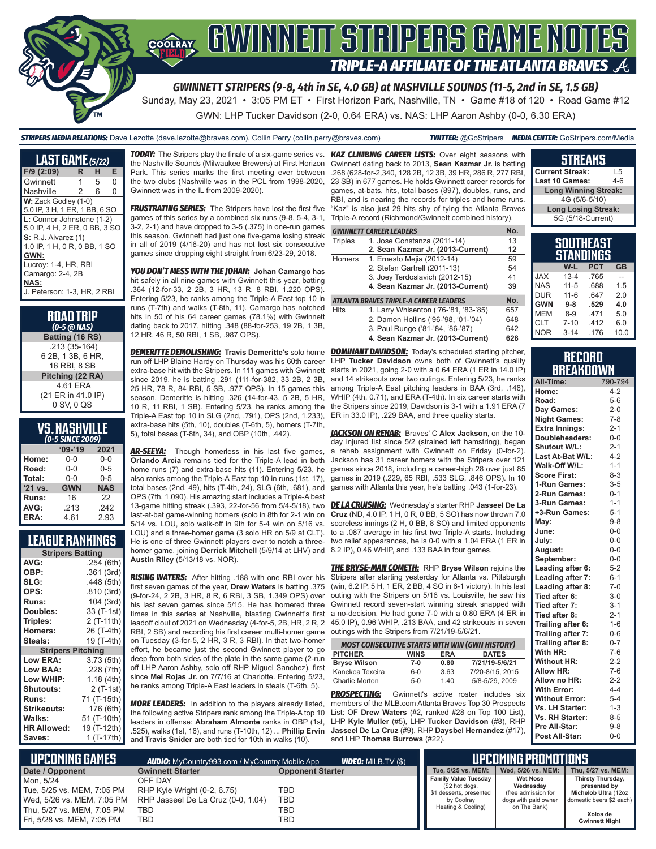

GWN: LHP Tucker Davidson (2-0, 0.64 ERA) vs. NAS: LHP Aaron Ashby (0-0, 6.30 ERA)

*STRIPERS MEDIA RELATIONS:* Dave Lezotte (dave.lezotte@braves.com), Collin Perry (collin.perry@braves.com) *TWITTER:* @GoStripers *MEDIA CENTER:* GoStripers.com/Media

| <b>LAST GAME</b> (5/22)       |   |   |   |
|-------------------------------|---|---|---|
| F/9 (2:09)                    | R | н | Е |
| Gwinnett                      | 1 | 5 | 0 |
| Nashville                     | 2 | 6 | O |
| W: Zack Godley (1-0)          |   |   |   |
| 5.0 IP, 3 H, 1 ER, 1 BB, 6 SO |   |   |   |
| L: Connor Johnstone (1-2)     |   |   |   |
| 5.0 IP, 4 H, 2 ER, 0 BB, 3 SO |   |   |   |
| <b>S: R.J. Alvarez (1)</b>    |   |   |   |
| 1.0 IP, 1 H, 0 R, 0 BB, 1 SO  |   |   |   |
| GWN:                          |   |   |   |
| Lucroy: 1-4, HR, RBI          |   |   |   |
| Camargo: 2-4, 2B              |   |   |   |
| NAS:                          |   |   |   |
| J. Peterson: 1-3, HR, 2 RBI   |   |   |   |

| <b>ROAD TRIP</b><br>$(0-5 \overline{\omega}$ NAS) |
|---------------------------------------------------|
| Batting (16 RS)                                   |
| .213 (35-164)                                     |
| 6 2B, 1 3B, 6 HR,                                 |
| 16 RBI, 8 SB                                      |
| Pitching (22 RA)                                  |
| 4.61 ERA                                          |
| (21 ER in 41.0 IP)                                |
| 0 SV, 0 QS                                        |

#### **VS. NASHVILLE**  *(0-5 SINCE 2009)*

| -----      |            |  |  |
|------------|------------|--|--|
| $09 - 19$  | 2021       |  |  |
| 0-0        | $0 - 0$    |  |  |
| $0 - 0$    | $0 - 5$    |  |  |
| $0 - 0$    | $0 - 5$    |  |  |
| <b>GWN</b> | <b>NAS</b> |  |  |
| 16         | 22         |  |  |
| .213       | .242       |  |  |
| 4.61       | 2.93       |  |  |
|            |            |  |  |

### **LEAGUE RANKINGS**

| <b>Stripers Batting</b>  |             |  |  |  |
|--------------------------|-------------|--|--|--|
| AVG:                     | .254 (6th)  |  |  |  |
| OBP:                     | .361 (3rd)  |  |  |  |
| SLG:                     | .448 (5th)  |  |  |  |
| OPS:                     | .810 (3rd)  |  |  |  |
| <b>Runs:</b>             | 104 (3rd)   |  |  |  |
| <b>Doubles:</b>          | 33 (T-1st)  |  |  |  |
| Triples:                 | 2 (T-11th)  |  |  |  |
| Homers:                  | 26 (T-4th)  |  |  |  |
| Steals:                  | 19 (T-4th)  |  |  |  |
| <b>Stripers Pitching</b> |             |  |  |  |
| <b>Low ERA:</b>          | 3.73(5th)   |  |  |  |
| Low BAA:                 | .228 (7th)  |  |  |  |
| Low WHIP:                | 1.18 (4th)  |  |  |  |
| <b>Shutouts:</b>         | 2 (T-1st)   |  |  |  |
| <b>Runs:</b>             | 71 (T-15th) |  |  |  |
| <b>Strikeouts:</b>       | 176 (6th)   |  |  |  |
| Walks:                   | 51 (T-10th) |  |  |  |
| <b>HR Allowed:</b>       | 19 (T-12th) |  |  |  |
| Saves:                   | 1 (T-17th)  |  |  |  |
|                          |             |  |  |  |

*TODAY:* The Stripers play the finale of a six-game series vs. the Nashville Sounds (Milwaukee Brewers) at First Horizon Park. This series marks the first meeting ever between the two clubs (Nashville was in the PCL from 1998-2020, Gwinnett was in the IL from 2009-2020).

**FRUSTRATING SERIES:** The Stripers have lost the first five games of this series by a combined six runs (9-8, 5-4, 3-1, 3-2, 2-1) and have dropped to 3-5 (.375) in one-run games this season. Gwinnett had just one five-game losing streak in all of 2019 (4/16-20) and has not lost six consecutive games since dropping eight straight from 6/23-29, 2018.

*YOU DON'T MESS WITH THE JOHAN:* **Johan Camargo** has hit safely in all nine games with Gwinnett this year, batting .364 (12-for-33, 2 2B, 3 HR, 13 R, 8 RBI, 1.220 OPS). Entering 5/23, he ranks among the Triple-A East top 10 in runs (T-7th) and walks (T-8th, 11). Camargo has notched hits in 50 of his 64 career games (78.1%) with Gwinnett dating back to 2017, hitting .348 (88-for-253, 19 2B, 1 3B, 12 HR, 46 R, 50 RBI, 1 SB, .987 OPS).

*DEMERITTE DEMOLISHING:* **Travis Demeritte's** solo home run off LHP Blaine Hardy on Thursday was his 60th career extra-base hit with the Stripers. In 111 games with Gwinnett since 2019, he is batting .291 (111-for-382, 33 2B, 2 3B, 25 HR, 78 R, 84 RBI, 5 SB, .977 OPS). In 15 games this season, Demeritte is hitting .326 (14-for-43, 5 2B, 5 HR, 10 R, 11 RBI, 1 SB). Entering 5/23, he ranks among the Triple-A East top 10 in SLG (2nd, .791), OPS (2nd, 1.233), extra-base hits (5th, 10), doubles (T-6th, 5), homers (T-7th, 5), total bases (T-8th, 34), and OBP (10th, .442).

*AR-SEEYA:* Though homerless in his last five games, **Orlando Arcia** remains tied for the Triple-A lead in both home runs (7) and extra-base hits (11). Entering 5/23, he also ranks among the Triple-A East top 10 in runs (1st, 17), total bases (2nd, 49), hits (T-4th, 24), SLG (6th, .681), and OPS (7th, 1.090). His amazing start includes a Triple-A best 13-game hitting streak (.393, 22-for-56 from 5/4-5/18), two last-at-bat game-winning homers (solo in 8th for 2-1 win on 5/14 vs. LOU, solo walk-off in 9th for 5-4 win on 5/16 vs. LOU) and a three-homer game (3 solo HR on 5/9 at CLT). He is one of three Gwinnett players ever to notch a threehomer game, joining **Derrick Mitchell** (5/9/14 at LHV) and **Austin Riley** (5/13/18 vs. NOR).

*RISING WATERS:* After hitting .188 with one RBI over his first seven games of the year, **Drew Waters** is batting .375 (9-for-24, 2 2B, 3 HR, 8 R, 6 RBI, 3 SB, 1.349 OPS) over his last seven games since 5/15. He has homered three times in this series at Nashville, blasting Gwinnett's first leadoff clout of 2021 on Wednesday (4-for-5, 2B, HR, 2 R, 2 RBI, 2 SB) and recording his first career multi-homer game on Tuesday (3-for-5, 2 HR, 3 R, 3 RBI). In that two-homer effort, he became just the second Gwinnett player to go deep from both sides of the plate in the same game (2-run off LHP Aaron Ashby, solo off RHP Miguel Sanchez), first since **Mel Rojas Jr.** on 7/7/16 at Charlotte. Entering 5/23, he ranks among Triple-A East leaders in steals (T-6th, 5).

**MORE LEADERS:** In addition to the players already listed, the following active Stripers rank among the Triple-A top 10 leaders in offense: **Abraham Almonte** ranks in OBP (1st, .525), walks (1st, 16), and runs (T-10th, 12) ... **Phillip Ervin** and **Travis Snider** are both tied for 10th in walks (10).

**KAZ CLIMBING CAREER LISTS:** Over eight seasons with Gwinnett dating back to 2013, **Sean Kazmar Jr.** is batting .268 (628-for-2,340, 128 2B, 12 3B, 39 HR, 286 R, 277 RBI, 23 SB) in 677 games. He holds Gwinnett career records for games, at-bats, hits, total bases (897), doubles, runs, and RBI, and is nearing the records for triples and home runs. "Kaz" is also just 29 hits shy of tying the Atlanta Braves Triple-A record (Richmond/Gwinnett combined history).

#### *GWINNETT CAREER LEADERS* **No.**

| Triples | 1. Jose Constanza (2011-14)               | 13 |
|---------|-------------------------------------------|----|
|         | 2. Sean Kazmar Jr. (2013-Current)         | 12 |
| Homers  | 1. Ernesto Mejia (2012-14)                | 59 |
|         | 2. Stefan Gartrell (2011-13)              | 54 |
|         | 3. Joey Terdoslavich (2012-15)            | 41 |
|         | 4. Sean Kazmar Jr. (2013-Current)         | 39 |
|         | ATI ANTA RRAVES TRIDI F-A CAREER I FADERS |    |

#### *ATLANTA BRAVES TRIPLE-A CAREER LEADERS* **No.**

- Hits 1. Larry Whisenton ('76-'81, '83-'85) 657 2. Damon Hollins ('96-'98, '01-'04) 648<br>3. Paul Runge ('81-'84, '86-'87) 642 3. Paul Runge ('81-'84, '86-'87)
	- **4. Sean Kazmar Jr. (2013-Current) 628**

**DOMINANT DAVIDSON:** Today's scheduled starting pitcher, LHP **Tucker Davidson** owns both of Gwinnett's quality starts in 2021, going 2-0 with a 0.64 ERA (1 ER in 14.0 IP) and 14 strikeouts over two outings. Entering 5/23, he ranks among Triple-A East pitching leaders in BAA (3rd, .146), WHIP (4th, 0.71), and ERA (T-4th). In six career starts with the Stripers since 2019, Davidson is 3-1 with a 1.91 ERA (7 ER in 33.0 IP), .229 BAA, and three quality starts.

*JACKSON ON REHAB:* Braves' C **Alex Jackson**, on the 10 day injured list since 5/2 (strained left hamstring), began a rehab assignment with Gwinnett on Friday (0-for-2). Jackson has 31 career homers with the Stripers over 121 games since 2018, including a career-high 28 over just 85 games in 2019 (.229, 65 RBI, .533 SLG, .846 OPS). In 10 games with Atlanta this year, he's batting .043 (1-for-23).

*DE LA CRUISING:* Wednesday's starter RHP **Jasseel De La Cruz** (ND, 4.0 IP, 1 H, 0 R, 0 BB, 5 SO) has now thrown 7.0 scoreless innings (2 H, 0 BB, 8 SO) and limited opponents to a .087 average in his first two Triple-A starts. Including two relief appearances, he is 0-0 with a 1.04 ERA (1 ER in 8.2 IP), 0.46 WHIP, and .133 BAA in four games.

*THE BRYSE-MAN COMETH:* RHP **Bryse Wilson** rejoins the Stripers after starting yesterday for Atlanta vs. Pittsburgh (win, 6.2 IP, 5 H, 1 ER, 2 BB, 4 SO in 6-1 victory). In his last outing with the Stripers on 5/16 vs. Louisville, he saw his Gwinnett record seven-start winning streak snapped with a no-decision. He had gone 7-0 with a 0.80 ERA (4 ER in 45.0 IP), 0.96 WHIP, .213 BAA, and 42 strikeouts in seven outings with the Stripers from 7/21/19-5/6/21.

| <b>MOST CONSECUTIVE STARTS WITH WIN (GWN HISTORY)</b>       |         |      |                 |  |  |
|-------------------------------------------------------------|---------|------|-----------------|--|--|
| <b>PITCHER</b><br><b>DATES</b><br><b>WINS</b><br><b>FRA</b> |         |      |                 |  |  |
| <b>Bryse Wilson</b>                                         | 7-0     | 0.80 | 7/21/19-5/6/21  |  |  |
| Kanekoa Texeira                                             | $6 - 0$ | 3.63 | 7/20-8/15, 2015 |  |  |
| Charlie Morton                                              | $5-0$   | 1.40 | 5/8-5/29, 2009  |  |  |

**PROSPECTING:** Gwinnett's active roster includes six members of the MLB.com Atlanta Braves Top 30 Prospects List: OF **Drew Waters** (#2, ranked #28 on Top 100 List), LHP **Kyle Muller** (#5), LHP **Tucker Davidson** (#8), RHP **Jasseel De La Cruz** (#9), RHP **Daysbel Hernandez** (#17), and LHP **Thomas Burrows** (#22).

| <b>Current Streak:</b>      | ۱.5 |
|-----------------------------|-----|
| Last 10 Games:              | 4-R |
| <b>Long Winning Streak:</b> |     |
| 4G (5/6-5/10)               |     |
| <b>Long Losing Streak:</b>  |     |
| 5G (5/18-Current)           |     |
|                             |     |
|                             |     |

**STREAKS**

|            |          | JUUINLAJI<br>STANDINGS |           |
|------------|----------|------------------------|-----------|
|            | W-L      | <b>PCT</b>             | <b>GB</b> |
| JAX        | $13 - 4$ | .765                   | --        |
| <b>NAS</b> | $11 - 5$ | .688                   | 1.5       |
| <b>DUR</b> | $11 - 6$ | .647                   | 2.0       |
| <b>GWN</b> | $9 - 8$  | .529                   | 4.0       |

| RECORD     |          |      |      |
|------------|----------|------|------|
|            |          |      |      |
| <b>NOR</b> | $3 - 14$ | .176 | 10.0 |
| <b>CLT</b> | $7 - 10$ | .412 | 6.0  |
| MEM        | $8-9$    | .471 | 5.0  |
|            |          |      |      |

| RECURU |                  |
|--------|------------------|
|        | <b>BREAKDOWN</b> |

| All-Time:             | 790-794 |
|-----------------------|---------|
| Home:                 | $4 - 2$ |
| Road:                 | $5 - 6$ |
| Day Games:            | $2 - 0$ |
| <b>Night Games:</b>   | $7 - 8$ |
| <b>Extra Innings:</b> | $2 - 1$ |
| Doubleheaders:        | $0 - 0$ |
| Shutout W/L:          | $2 - 1$ |
| Last At-Bat W/L:      | $4 - 2$ |
| Walk-Off W/L:         | $1 - 1$ |
| <b>Score First:</b>   | $8 - 3$ |
| 1-Run Games:          | $3 - 5$ |
| 2-Run Games:          | $0 - 1$ |
| 3-Run Games:          | $1 - 1$ |
| +3-Run Games:         | $5 - 1$ |
| May:                  | $9 - 8$ |
| June:                 | $0 - 0$ |
| July:                 | $0 - 0$ |
| August:               | $0-0$   |
| September:            | $0-0$   |
| Leading after 6:      | $5 - 2$ |
| Leading after 7:      | $6 - 1$ |
| Leading after 8:      | $7 - 0$ |
| Tied after 6:         | $3-0$   |
| Tied after 7:         | $3 - 1$ |
| Tied after 8:         | $2 - 1$ |
| Trailing after 6:     | $1-6$   |
| Trailing after 7:     | $0 - 6$ |
| Trailing after 8:     | $0 - 7$ |
| With HR:              | $7-6$   |
| <b>Without HR:</b>    | $2 - 2$ |
| Allow HR:             | $7-6$   |
| Allow no HR:          | $2 - 2$ |
| <b>With Error:</b>    | $4 - 4$ |
| <b>Without Error:</b> | $5 - 4$ |
| Vs. LH Starter:       | $1 - 3$ |
| Vs. RH Starter:       | $8 - 5$ |
| Pre All-Star:         | $9 - 8$ |
| Post All-Star:        | $0 - 0$ |

| NUPCOMING GAMES <b>I</b><br><b>VIDEO:</b> MILB.TV (\$)<br><b>AUDIO:</b> MyCountry993.com / MyCountry Mobile App |                                    |                         | <b>LIPCOMING PROMOTIONS</b>               |                              |                                   |
|-----------------------------------------------------------------------------------------------------------------|------------------------------------|-------------------------|-------------------------------------------|------------------------------|-----------------------------------|
| Date / Opponent                                                                                                 | <b>Gwinnett Starter</b>            | <b>Opponent Starter</b> | Tue. 5/25 vs. MEM:                        | Wed. 5/26 vs. MEM:           | Thu, 5/27 vs. MEM:                |
| Mon. 5/24                                                                                                       | OFF DAY                            |                         | <b>Family Value Tuesday</b>               | <b>Wet Nose</b><br>Wednesday | Thirsty Thursday,<br>presented by |
| Tue, 5/25 vs. MEM, 7:05 PM                                                                                      | RHP Kyle Wright (0-2, 6.75)        | TBD                     | (\$2 hot dogs,<br>\$1 desserts, presented | (free admission for          | Michelob Ultra (12oz              |
| Wed, 5/26 vs. MEM, 7:05 PM                                                                                      | RHP Jasseel De La Cruz (0-0, 1.04) | TBD                     | by Coolray                                | dogs with paid owner         | domestic beers \$2 each)          |
| Thu, 5/27 vs. MEM, 7:05 PM                                                                                      | TBD                                | TBD                     | Heating & Cooling)                        | on The Bank)                 |                                   |
| Fri, 5/28 vs. MEM, 7:05 PM                                                                                      | TBD                                | TBD                     |                                           |                              | Xolos de<br><b>Gwinnett Night</b> |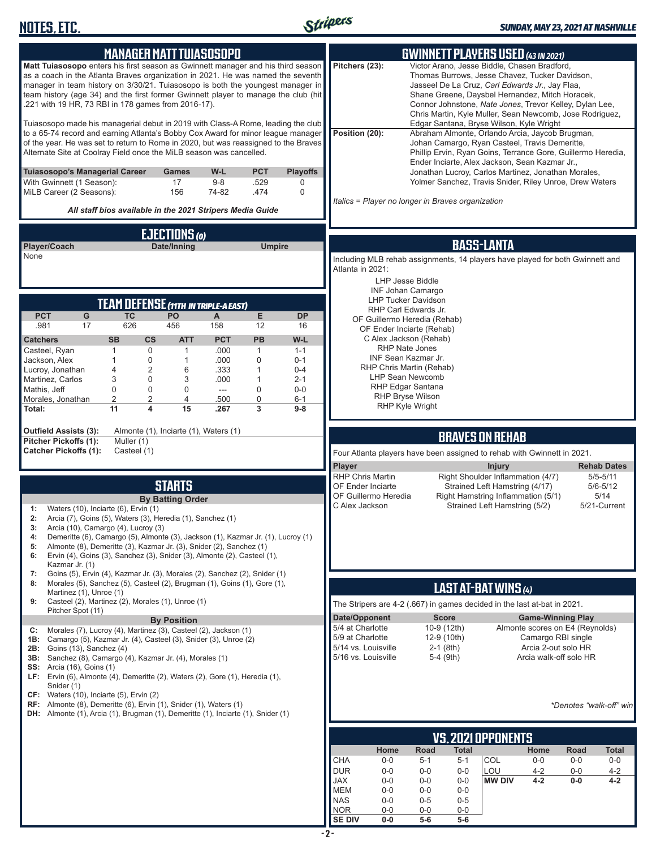

|                                                                                                                                                                      | <b>MANAGER MATTTUIASOSOPO</b>         |                |                             |                    |                                                                                                   |                                                      |                  | <b>GWINNETT PLAYERS USED (43 IN 2021)</b>                                                             |                                 |               |                                    |
|----------------------------------------------------------------------------------------------------------------------------------------------------------------------|---------------------------------------|----------------|-----------------------------|--------------------|---------------------------------------------------------------------------------------------------|------------------------------------------------------|------------------|-------------------------------------------------------------------------------------------------------|---------------------------------|---------------|------------------------------------|
| Matt Tuiasosopo enters his first season as Gwinnett manager and his third season                                                                                     |                                       |                |                             |                    | Pitchers (23):                                                                                    |                                                      |                  | Victor Arano, Jesse Biddle, Chasen Bradford,                                                          |                                 |               |                                    |
| as a coach in the Atlanta Braves organization in 2021. He was named the seventh<br>manager in team history on 3/30/21. Tuiasosopo is both the youngest manager in    |                                       |                |                             |                    |                                                                                                   |                                                      |                  | Thomas Burrows, Jesse Chavez, Tucker Davidson,<br>Jasseel De La Cruz, Carl Edwards Jr., Jay Flaa,     |                                 |               |                                    |
| team history (age 34) and the first former Gwinnett player to manage the club (hit                                                                                   |                                       |                |                             |                    |                                                                                                   |                                                      |                  | Shane Greene, Daysbel Hernandez, Mitch Horacek,                                                       |                                 |               |                                    |
| .221 with 19 HR, 73 RBI in 178 games from 2016-17).                                                                                                                  |                                       |                |                             |                    |                                                                                                   |                                                      |                  | Connor Johnstone, Nate Jones, Trevor Kelley, Dylan Lee,                                               |                                 |               |                                    |
|                                                                                                                                                                      |                                       |                |                             |                    |                                                                                                   |                                                      |                  | Chris Martin, Kyle Muller, Sean Newcomb, Jose Rodriguez,                                              |                                 |               |                                    |
| Tuiasosopo made his managerial debut in 2019 with Class-A Rome, leading the club<br>to a 65-74 record and earning Atlanta's Bobby Cox Award for minor league manager |                                       |                |                             |                    | Position (20):                                                                                    |                                                      |                  | Edgar Santana, Bryse Wilson, Kyle Wright<br>Abraham Almonte, Orlando Arcia, Jaycob Brugman,           |                                 |               |                                    |
| of the year. He was set to return to Rome in 2020, but was reassigned to the Braves                                                                                  |                                       |                |                             |                    |                                                                                                   |                                                      |                  | Johan Camargo, Ryan Casteel, Travis Demeritte,                                                        |                                 |               |                                    |
| Alternate Site at Coolray Field once the MiLB season was cancelled.                                                                                                  |                                       |                |                             |                    |                                                                                                   |                                                      |                  | Phillip Ervin, Ryan Goins, Terrance Gore, Guillermo Heredia,                                          |                                 |               |                                    |
| Tuiasosopo's Managerial Career                                                                                                                                       | <b>Games</b>                          | W-L            | <b>PCT</b>                  | <b>Playoffs</b>    |                                                                                                   |                                                      |                  | Ender Inciarte, Alex Jackson, Sean Kazmar Jr.,<br>Jonathan Lucroy, Carlos Martinez, Jonathan Morales, |                                 |               |                                    |
| With Gwinnett (1 Season):                                                                                                                                            | 17                                    | $9 - 8$        | .529                        | 0                  |                                                                                                   |                                                      |                  | Yolmer Sanchez, Travis Snider, Riley Unroe, Drew Waters                                               |                                 |               |                                    |
| MiLB Career (2 Seasons):                                                                                                                                             | 156                                   | 74-82          | .474                        | $\mathbf 0$        |                                                                                                   |                                                      |                  |                                                                                                       |                                 |               |                                    |
| All staff bios available in the 2021 Stripers Media Guide                                                                                                            |                                       |                |                             |                    | Italics = Player no longer in Braves organization                                                 |                                                      |                  |                                                                                                       |                                 |               |                                    |
|                                                                                                                                                                      |                                       |                |                             |                    |                                                                                                   |                                                      |                  |                                                                                                       |                                 |               |                                    |
|                                                                                                                                                                      | EJECTIONS (0)                         |                |                             |                    |                                                                                                   |                                                      |                  |                                                                                                       |                                 |               |                                    |
| Player/Coach<br>None                                                                                                                                                 | Date/Inning                           |                | <b>Umpire</b>               |                    |                                                                                                   |                                                      |                  | <b>BASS-LANTA</b>                                                                                     |                                 |               |                                    |
|                                                                                                                                                                      |                                       |                |                             |                    | Including MLB rehab assignments, 14 players have played for both Gwinnett and<br>Atlanta in 2021: |                                                      |                  |                                                                                                       |                                 |               |                                    |
|                                                                                                                                                                      |                                       |                |                             |                    |                                                                                                   | <b>LHP Jesse Biddle</b>                              |                  |                                                                                                       |                                 |               |                                    |
|                                                                                                                                                                      |                                       |                |                             |                    |                                                                                                   | <b>INF Johan Camargo</b>                             |                  |                                                                                                       |                                 |               |                                    |
| <b>TEAM DEFENSE (11TH IN TRIPLE-A EAST)</b>                                                                                                                          |                                       |                |                             |                    |                                                                                                   | <b>LHP Tucker Davidson</b>                           |                  |                                                                                                       |                                 |               |                                    |
| ${\mathsf G}$<br><b>PCT</b><br><b>TC</b>                                                                                                                             | PO                                    | A              | E                           | <b>DP</b>          |                                                                                                   | RHP Carl Edwards Jr.<br>OF Guillermo Heredia (Rehab) |                  |                                                                                                       |                                 |               |                                    |
| .981<br>17<br>626                                                                                                                                                    | 456                                   | 158            | 12                          | 16                 |                                                                                                   | OF Ender Inciarte (Rehab)                            |                  |                                                                                                       |                                 |               |                                    |
| <b>SB</b><br>$\mathsf{cs}$<br><b>Catchers</b>                                                                                                                        | <b>ATT</b>                            | <b>PCT</b>     | PB                          | W-L                |                                                                                                   | C Alex Jackson (Rehab)                               |                  |                                                                                                       |                                 |               |                                    |
| Casteel, Ryan<br>1<br>0                                                                                                                                              | 1                                     | .000           | $\overline{1}$              | $1 - 1$            |                                                                                                   | <b>RHP Nate Jones</b><br>INF Sean Kazmar Jr.         |                  |                                                                                                       |                                 |               |                                    |
| 0<br>Jackson, Alex<br>$\mathbf{1}$<br>2<br>Lucroy, Jonathan<br>4                                                                                                     | $\mathbf{1}$<br>6                     | .000<br>.333   | $\mathbf 0$<br>$\mathbf{1}$ | $0 - 1$<br>$0 - 4$ |                                                                                                   | RHP Chris Martin (Rehab)                             |                  |                                                                                                       |                                 |               |                                    |
| 3<br>0<br>Martinez, Carlos                                                                                                                                           | 3                                     | .000           | $\mathbf{1}$                | $2 - 1$            |                                                                                                   | <b>LHP Sean Newcomb</b>                              |                  |                                                                                                       |                                 |               |                                    |
| 0<br>0<br>Mathis, Jeff                                                                                                                                               | $\mathbf 0$                           | $\overline{a}$ | $\mathbf 0$                 | $0-0$              |                                                                                                   | RHP Edgar Santana                                    |                  |                                                                                                       |                                 |               |                                    |
| $\overline{2}$<br>2<br>Morales, Jonathan<br>4<br>11                                                                                                                  | 4<br>15                               | .500<br>.267   | 0<br>3                      | $6 - 1$<br>$9-8$   |                                                                                                   | <b>RHP Bryse Wilson</b><br><b>RHP Kyle Wright</b>    |                  |                                                                                                       |                                 |               |                                    |
| Total:                                                                                                                                                               |                                       |                |                             |                    |                                                                                                   |                                                      |                  |                                                                                                       |                                 |               |                                    |
| <b>Outfield Assists (3):</b>                                                                                                                                         | Almonte (1), Inciarte (1), Waters (1) |                |                             |                    |                                                                                                   |                                                      |                  | <b>BRAVES ON REHAB</b>                                                                                |                                 |               |                                    |
| Pitcher Pickoffs (1):<br>Muller (1)<br><b>Catcher Pickoffs (1):</b><br>Casteel (1)                                                                                   |                                       |                |                             |                    |                                                                                                   |                                                      |                  |                                                                                                       |                                 |               |                                    |
|                                                                                                                                                                      |                                       |                |                             |                    | Four Atlanta players have been assigned to rehab with Gwinnett in 2021.                           |                                                      |                  |                                                                                                       |                                 |               |                                    |
|                                                                                                                                                                      |                                       |                |                             |                    | Player<br><b>RHP Chris Martin</b>                                                                 |                                                      |                  | <b>Injury</b><br>Right Shoulder Inflammation (4/7)                                                    |                                 |               | <b>Rehab Dates</b><br>$5/5 - 5/11$ |
|                                                                                                                                                                      | <b>STARTS</b>                         |                |                             |                    | OF Ender Inciarte                                                                                 |                                                      |                  | Strained Left Hamstring (4/17)                                                                        |                                 |               | $5/6 - 5/12$                       |
|                                                                                                                                                                      | <b>By Batting Order</b>               |                |                             |                    | OF Guillermo Heredia                                                                              |                                                      |                  | Right Hamstring Inflammation (5/1)                                                                    |                                 |               | 5/14                               |
| Waters (10), Inciarte (6), Ervin (1)<br>1:                                                                                                                           |                                       |                |                             |                    | C Alex Jackson                                                                                    |                                                      |                  | Strained Left Hamstring (5/2)                                                                         |                                 |               | 5/21-Current                       |
| 2:<br>Arcia (7), Goins (5), Waters (3), Heredia (1), Sanchez (1)                                                                                                     |                                       |                |                             |                    |                                                                                                   |                                                      |                  |                                                                                                       |                                 |               |                                    |
| Arcia (10), Camargo (4), Lucroy (3)<br>3:<br>Demeritte (6), Camargo (5), Almonte (3), Jackson (1), Kazmar Jr. (1), Lucroy (1)<br>4:                                  |                                       |                |                             |                    |                                                                                                   |                                                      |                  |                                                                                                       |                                 |               |                                    |
| Almonte (8), Demeritte (3), Kazmar Jr. (3), Snider (2), Sanchez (1)<br>5:                                                                                            |                                       |                |                             |                    |                                                                                                   |                                                      |                  |                                                                                                       |                                 |               |                                    |
| Ervin (4), Goins (3), Sanchez (3), Snider (3), Almonte (2), Casteel (1),<br>6:                                                                                       |                                       |                |                             |                    |                                                                                                   |                                                      |                  |                                                                                                       |                                 |               |                                    |
| Kazmar Jr. (1)<br>Goins (5), Ervin (4), Kazmar Jr. (3), Morales (2), Sanchez (2), Snider (1)<br>7:                                                                   |                                       |                |                             |                    |                                                                                                   |                                                      |                  |                                                                                                       |                                 |               |                                    |
| Morales (5), Sanchez (5), Casteel (2), Brugman (1), Goins (1), Gore (1),<br>8:                                                                                       |                                       |                |                             |                    |                                                                                                   |                                                      |                  | LAST AT-BAT WINS (4)                                                                                  |                                 |               |                                    |
| Martinez (1), Unroe (1)<br>Casteel (2), Martinez (2), Morales (1), Unroe (1)<br>9:                                                                                   |                                       |                |                             |                    | The Stripers are 4-2 (.667) in games decided in the last at-bat in 2021.                          |                                                      |                  |                                                                                                       |                                 |               |                                    |
| Pitcher Spot (11)                                                                                                                                                    |                                       |                |                             |                    | Date/Opponent                                                                                     |                                                      | <b>Score</b>     |                                                                                                       | <b>Game-Winning Play</b>        |               |                                    |
|                                                                                                                                                                      | <b>By Position</b>                    |                |                             |                    | 5/4 at Charlotte                                                                                  |                                                      | 10-9 (12th)      |                                                                                                       | Almonte scores on E4 (Reynolds) |               |                                    |
| Morales (7), Lucroy (4), Martinez (3), Casteel (2), Jackson (1)<br>C:<br>Camargo (5), Kazmar Jr. (4), Casteel (3), Snider (3), Unroe (2)<br>1B:                      |                                       |                |                             |                    | 5/9 at Charlotte                                                                                  |                                                      | 12-9 (10th)      |                                                                                                       | Camargo RBI single              |               |                                    |
| <b>2B:</b> Goins (13), Sanchez (4)                                                                                                                                   |                                       |                |                             |                    | 5/14 vs. Louisville                                                                               |                                                      | $2-1$ (8th)      |                                                                                                       | Arcia 2-out solo HR             |               |                                    |
| 3B: Sanchez (8), Camargo (4), Kazmar Jr. (4), Morales (1)                                                                                                            |                                       |                |                             |                    | 5/16 vs. Louisville                                                                               |                                                      | 5-4 (9th)        |                                                                                                       | Arcia walk-off solo HR          |               |                                    |
| <b>SS:</b> Arcia (16), Goins (1)<br>LF: Ervin (6), Almonte (4), Demeritte (2), Waters (2), Gore (1), Heredia (1),                                                    |                                       |                |                             |                    |                                                                                                   |                                                      |                  |                                                                                                       |                                 |               |                                    |
| Snider (1)                                                                                                                                                           |                                       |                |                             |                    |                                                                                                   |                                                      |                  |                                                                                                       |                                 |               |                                    |
| $CF:$ Waters (10), Inciarte (5), Ervin (2)                                                                                                                           |                                       |                |                             |                    |                                                                                                   |                                                      |                  |                                                                                                       |                                 |               |                                    |
| RF: Almonte (8), Demeritte (6), Ervin (1), Snider (1), Waters (1)<br><b>DH:</b> Almonte (1), Arcia (1), Brugman (1), Demeritte (1), Inciarte (1), Snider (1)         |                                       |                |                             |                    |                                                                                                   |                                                      |                  |                                                                                                       |                                 |               | *Denotes "walk-off" win            |
|                                                                                                                                                                      |                                       |                |                             |                    |                                                                                                   |                                                      |                  |                                                                                                       |                                 |               |                                    |
|                                                                                                                                                                      |                                       |                |                             |                    |                                                                                                   |                                                      |                  | VS. 2021 OPPONENTS                                                                                    |                                 |               |                                    |
|                                                                                                                                                                      |                                       |                |                             |                    | CHA                                                                                               | Home<br>Road<br>$0-0$<br>$5 - 1$                     | Total<br>$5 - 1$ | COL                                                                                                   | Home<br>$0-0$                   | Road<br>$0-0$ | Total<br>$0-0$                     |
|                                                                                                                                                                      |                                       |                |                             |                    | <b>DUR</b>                                                                                        | $0-0$<br>$0-0$                                       | $0-0$            | LOU                                                                                                   | $4 - 2$                         | $0-0$         | $4 - 2$                            |
|                                                                                                                                                                      |                                       |                |                             |                    | <b>JAX</b>                                                                                        | $0-0$<br>$0-0$                                       | $0-0$            | <b>MW DIV</b>                                                                                         | $4 - 2$                         | $0-0$         | $4 - 2$                            |
|                                                                                                                                                                      |                                       |                |                             |                    | <b>MEM</b><br><b>NAS</b>                                                                          | $0-0$<br>$0-0$<br>$0-0$<br>$0 - 5$                   | $0-0$<br>$0-5$   |                                                                                                       |                                 |               |                                    |
|                                                                                                                                                                      |                                       |                |                             |                    | <b>NOR</b>                                                                                        | $0-0$<br>$0-0$                                       | $0-0$            |                                                                                                       |                                 |               |                                    |

**SE DIV 0-0 5-6 5-6**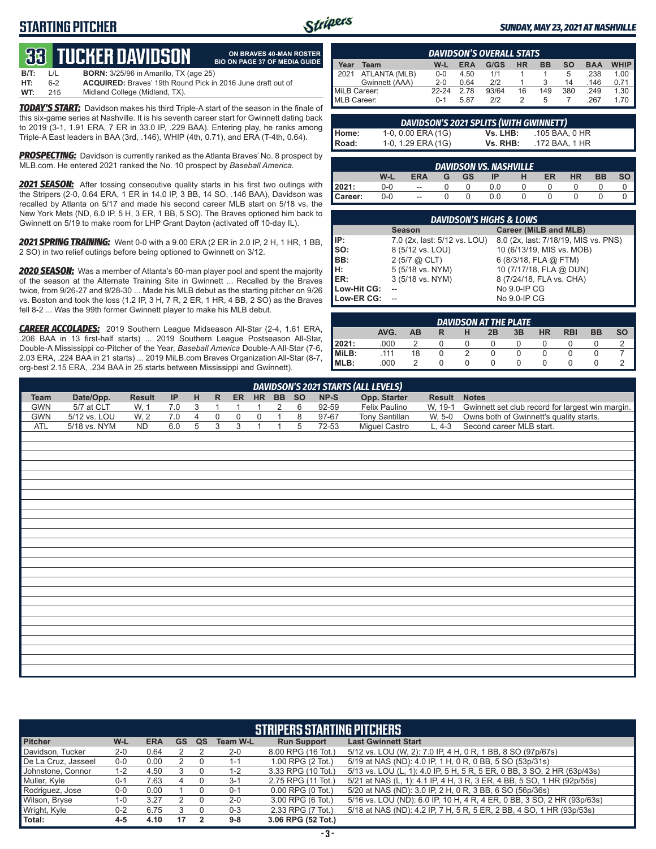# **STARTING PITCHER**



**ON BRAVES 40-MAN ROSTER**

#### *SUNDAY, MAY 23, 2021 AT NASHVILLE*

# **33****TUCKER DAVIDSON**

|      |         | OD TUGHLILDAVIDJUN.                                                | <b>BIO ON PAGE 37 OF MEDIA GUIDE</b> |
|------|---------|--------------------------------------------------------------------|--------------------------------------|
| B/T: | $\perp$ | <b>BORN:</b> 3/25/96 in Amarillo. TX (age 25)                      |                                      |
| HT:  | հ-2     | <b>ACQUIRED:</b> Braves' 19th Round Pick in 2016 June draft out of |                                      |
| WT:  | 215     | Midland College (Midland, TX).                                     |                                      |

*TODAY'S START:* Davidson makes his third Triple-A start of the season in the finale of this six-game series at Nashville. It is his seventh career start for Gwinnett dating back to 2019 (3-1, 1.91 ERA, 7 ER in 33.0 IP, .229 BAA). Entering play, he ranks among Triple-A East leaders in BAA (3rd, .146), WHIP (4th, 0.71), and ERA (T-4th, 0.64).

*PROSPECTING:* Davidson is currently ranked as the Atlanta Braves' No. 8 prospect by MLB.com. He entered 2021 ranked the No. 10 prospect by *Baseball America*.

*2021 SEASON:* After tossing consecutive quality starts in his first two outings with the Stripers (2-0, 0.64 ERA, 1 ER in 14.0 IP, 3 BB, 14 SO, .146 BAA), Davidson was recalled by Atlanta on 5/17 and made his second career MLB start on 5/18 vs. the New York Mets (ND, 6.0 IP, 5 H, 3 ER, 1 BB, 5 SO). The Braves optioned him back to Gwinnett on 5/19 to make room for LHP Grant Dayton (activated off 10-day IL).

*2021 SPRING TRAINING:* Went 0-0 with a 9.00 ERA (2 ER in 2.0 IP, 2 H, 1 HR, 1 BB, 2 SO) in two relief outings before being optioned to Gwinnett on 3/12.

*2020 SEASON:* Was a member of Atlanta's 60-man player pool and spent the majority of the season at the Alternate Training Site in Gwinnett ... Recalled by the Braves twice, from 9/26-27 and 9/28-30 ... Made his MLB debut as the starting pitcher on 9/26 vs. Boston and took the loss (1.2 IP, 3 H, 7 R, 2 ER, 1 HR, 4 BB, 2 SO) as the Braves fell 8-2 ... Was the 99th former Gwinnett player to make his MLB debut.

*CAREER ACCOLADES:* 2019 Southern League Midseason All-Star (2-4, 1.61 ERA, .206 BAA in 13 first-half starts) ... 2019 Southern League Postseason All-Star, Double-A Mississippi co-Pitcher of the Year, *Baseball America* Double-A All-Star (7-6, 2.03 ERA, .224 BAA in 21 starts) ... 2019 MiLB.com Braves Organization All-Star (8-7, org-best 2.15 ERA, .234 BAA in 25 starts between Mississippi and Gwinnett).

|              | <b>DAVIDSON'S OVERALL STATS</b> |         |            |       |    |     |     |            |             |  |  |  |  |
|--------------|---------------------------------|---------|------------|-------|----|-----|-----|------------|-------------|--|--|--|--|
| <b>Year</b>  | Team                            | W-L     | <b>ERA</b> | G/GS  | HR | ВB  | so  | <b>BAA</b> | <b>WHIP</b> |  |  |  |  |
| 2021         | ATLANTA (MLB)                   | $0 - 0$ | 4.50       | 1/1   |    |     | 5   | .238       | 1.00        |  |  |  |  |
|              | Gwinnett (AAA)                  | $2 - 0$ | 0.64       | 212   |    |     | 14  | .146       | 0.71        |  |  |  |  |
| MiLB Career: |                                 | 22-24   | 2.78       | 93/64 | 16 | 149 | 380 | .249       | 1.30        |  |  |  |  |
| MLB Career:  |                                 | $0 - 1$ | 5.87       | 212   |    | h   |     | .267       | 1.70        |  |  |  |  |

|                | DAVIDSON'S 2021 SPLITS (WITH GWINNETT) |          |                |  |
|----------------|----------------------------------------|----------|----------------|--|
|                | 1-0, 0.00 ERA (1G)                     | Vs. LHB: | .105 BAA. 0 HR |  |
| Home:<br>Road: | 1-0, 1.29 ERA (1G)                     | Vs. RHB: | .172 BAA, 1 HR |  |

|         |     |                          |           | <b>DAVIDSON VS. NASHVILLE</b> |    |           |    |  |
|---------|-----|--------------------------|-----------|-------------------------------|----|-----------|----|--|
|         | W-L | <b>ERA</b>               | <b>GS</b> | ΙP                            | ER | <b>HR</b> | BB |  |
| 12021:  | 0-0 | $\overline{\phantom{a}}$ |           | 0.0                           |    |           |    |  |
| Career: | 0-0 | $\overline{\phantom{a}}$ |           | 0.0                           |    |           |    |  |

|             | <b>DAVIDSON'S HIGHS &amp; LOWS</b>     |                                      |  |  |  |  |  |  |  |  |  |  |  |
|-------------|----------------------------------------|--------------------------------------|--|--|--|--|--|--|--|--|--|--|--|
|             | Career (MiLB and MLB)<br><b>Season</b> |                                      |  |  |  |  |  |  |  |  |  |  |  |
| IP:         | 7.0 (2x, last: 5/12 vs. LOU)           | 8.0 (2x, last: 7/18/19, MIS vs. PNS) |  |  |  |  |  |  |  |  |  |  |  |
| SO:         | 8 (5/12 vs. LOU)                       | 10 (6/13/19, MIS vs. MOB)            |  |  |  |  |  |  |  |  |  |  |  |
| BB:         | $2(5/7)$ $(2)$ CLT                     | 6 (8/3/18, FLA @ FTM)                |  |  |  |  |  |  |  |  |  |  |  |
| н:          | 5 (5/18 vs. NYM)                       | 10 (7/17/18, FLA @ DUN)              |  |  |  |  |  |  |  |  |  |  |  |
| ER:         | 3 (5/18 vs. NYM)                       | 8 (7/24/18, FLA vs. CHA)             |  |  |  |  |  |  |  |  |  |  |  |
| Low-Hit CG: |                                        | No 9.0-IP CG                         |  |  |  |  |  |  |  |  |  |  |  |
| Low-ER CG:  |                                        | No 9.0-IP CG                         |  |  |  |  |  |  |  |  |  |  |  |

|       |      |    |   | <b>DAVIDSON AT THE PLATE</b> |    |           |            |    |           |
|-------|------|----|---|------------------------------|----|-----------|------------|----|-----------|
|       | AVG. | AВ | н | 2B                           | 3B | <b>HR</b> | <b>RBI</b> | BB | <b>SO</b> |
| 2021: | .000 |    |   |                              |    |           |            |    |           |
| MiLB: | 111  | 18 |   |                              |    |           |            |    |           |
| MLB:  | .000 |    |   |                              |    |           |            |    |           |

|             | DAVIDSON'S 2021 STARTS (ALL LEVELS)                                                                                                                       |           |     |  |  |  |  |  |    |       |                |        |                                                          |  |  |
|-------------|-----------------------------------------------------------------------------------------------------------------------------------------------------------|-----------|-----|--|--|--|--|--|----|-------|----------------|--------|----------------------------------------------------------|--|--|
| <b>Team</b> | Date/Opp.<br>Opp. Starter<br>NP-S<br><b>Result</b><br>$-$ BB $-$<br><b>SO</b><br>HR.<br>Result<br><b>Notes</b><br><b>IP</b><br><b>ER</b><br><b>H</b><br>R |           |     |  |  |  |  |  |    |       |                |        |                                                          |  |  |
| <b>GWN</b>  | 5/7 at CLT                                                                                                                                                | W. 1      | 7.0 |  |  |  |  |  | -6 | 92-59 | Felix Paulino  |        | W, 19-1 Gwinnett set club record for largest win margin. |  |  |
| <b>GWN</b>  | 5/12 vs. LOU                                                                                                                                              | W. 2      |     |  |  |  |  |  |    | 97-67 | Tony Santillan | W. 5-0 | Owns both of Gwinnett's quality starts.                  |  |  |
| ATL         | 5/18 vs. NYM                                                                                                                                              | <b>ND</b> | 6.0 |  |  |  |  |  |    | 72-53 | Miguel Castro  | $.4-3$ | Second career MLB start.                                 |  |  |
|             |                                                                                                                                                           |           |     |  |  |  |  |  |    |       |                |        |                                                          |  |  |
|             |                                                                                                                                                           |           |     |  |  |  |  |  |    |       |                |        |                                                          |  |  |

|                                                                                                                 | <b>STRIPERS STARTING PITCHERS</b> |      |    |  |         |                       |                                                                         |  |  |  |  |  |  |  |
|-----------------------------------------------------------------------------------------------------------------|-----------------------------------|------|----|--|---------|-----------------------|-------------------------------------------------------------------------|--|--|--|--|--|--|--|
| <b>Last Gwinnett Start</b><br><b>Pitcher</b><br>W-L<br><b>Run Support</b><br><b>ERA</b><br>GS<br>Team W-L<br>QS |                                   |      |    |  |         |                       |                                                                         |  |  |  |  |  |  |  |
| Davidson, Tucker                                                                                                | $2 - 0$                           | 0.64 |    |  | $2 - 0$ | 8.00 RPG (16 Tot.)    | 5/12 vs. LOU (W, 2): 7.0 IP, 4 H, 0 R, 1 BB, 8 SO (97p/67s)             |  |  |  |  |  |  |  |
| De La Cruz, Jasseel                                                                                             | $0-0$                             | 0.00 |    |  | $1 - 1$ | 1.00 RPG (2 Tot.)     | 5/19 at NAS (ND): 4.0 IP, 1 H, 0 R, 0 BB, 5 SO (53p/31s)                |  |  |  |  |  |  |  |
| Johnstone, Connor                                                                                               | $1 - 2$                           | 4.50 |    |  | $1 - 2$ | 3.33 RPG (10 Tot.)    | 5/13 vs. LOU (L, 1): 4.0 IP, 5 H, 5 R, 5 ER, 0 BB, 3 SO, 2 HR (63p/43s) |  |  |  |  |  |  |  |
| Muller, Kyle                                                                                                    | $0 - 1$                           | 7.63 |    |  | $3 - 1$ | 2.75 RPG (11 Tot.)    | 5/21 at NAS (L, 1): 4.1 IP, 4 H, 3 R, 3 ER, 4 BB, 5 SO, 1 HR (92p/55s)  |  |  |  |  |  |  |  |
| Rodriguez, Jose                                                                                                 | $0 - 0$                           | 0.00 |    |  | $0 - 1$ | $0.00$ RPG $(0$ Tot.) | 5/20 at NAS (ND): 3.0 IP, 2 H, 0 R, 3 BB, 6 SO (56p/36s)                |  |  |  |  |  |  |  |
| Wilson, Bryse                                                                                                   | $1 - 0$                           | 3.27 |    |  | $2 - 0$ | 3.00 RPG (6 Tot.)     | 5/16 vs. LOU (ND): 6.0 IP, 10 H, 4 R, 4 ER, 0 BB, 3 SO, 2 HR (93p/63s)  |  |  |  |  |  |  |  |
| Wright, Kyle                                                                                                    | $0 - 2$                           | 6.75 |    |  | $0 - 3$ | 2.33 RPG (7 Tot.)     | 5/18 at NAS (ND): 4.2 IP, 7 H, 5 R, 5 ER, 2 BB, 4 SO, 1 HR (93p/53s)    |  |  |  |  |  |  |  |
| Total:                                                                                                          | 4-5                               | 4.10 | 17 |  | $9-8$   | 3.06 RPG (52 Tot.)    |                                                                         |  |  |  |  |  |  |  |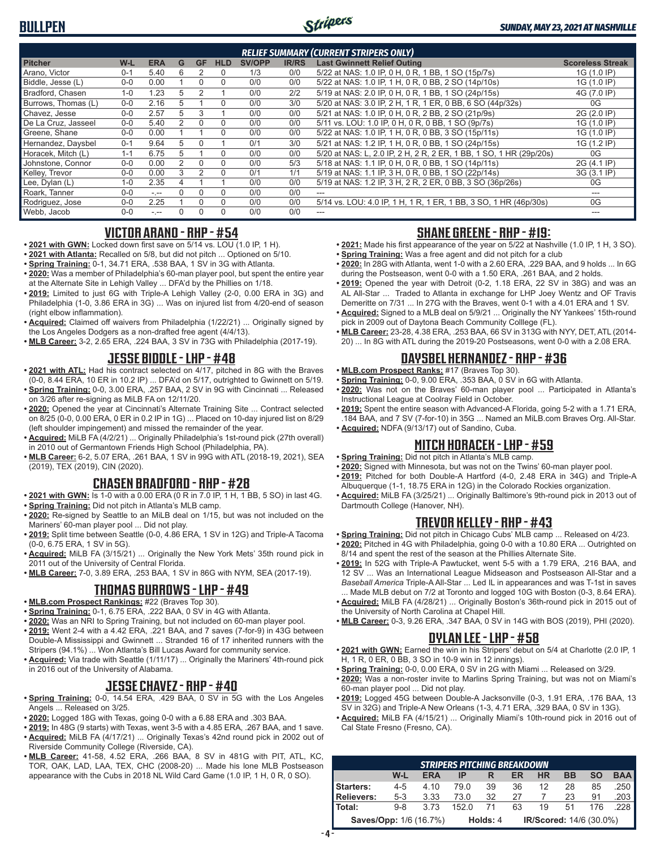

|                     |         |            |    |           |            |        |              | <b>RELIEF SUMMARY (CURRENT STRIPERS ONLY)</b>                      |                         |
|---------------------|---------|------------|----|-----------|------------|--------|--------------|--------------------------------------------------------------------|-------------------------|
| <b>Pitcher</b>      | $W-L$   | <b>ERA</b> | G  | <b>GF</b> | <b>HLD</b> | SV/OPP | <b>IR/RS</b> | <b>Last Gwinnett Relief Outing</b>                                 | <b>Scoreless Streak</b> |
| Arano, Victor       | $0 - 1$ | 5.40       | 6  |           | 0          | 1/3    | 0/0          | 5/22 at NAS: 1.0 IP, 0 H, 0 R, 1 BB, 1 SO (15p/7s)                 | 1G (1.0 IP)             |
| Biddle, Jesse (L)   | $0 - 0$ | 0.00       |    | $\Omega$  | $\Omega$   | 0/0    | 0/0          | 5/22 at NAS: 1.0 IP, 1 H, 0 R, 0 BB, 2 SO (14p/10s)                | 1G (1.0 IP)             |
| Bradford, Chasen    | $1 - 0$ | 1.23       | 5  | 2         |            | 0/0    | 2/2          | 5/19 at NAS: 2.0 IP, 0 H, 0 R, 1 BB, 1 SO (24p/15s)                | 4G (7.0 IP)             |
| Burrows, Thomas (L) | $0 - 0$ | 2.16       | 5. |           | $\Omega$   | 0/0    | 3/0          | 5/20 at NAS: 3.0 IP, 2 H, 1 R, 1 ER, 0 BB, 6 SO (44p/32s)          | 0G                      |
| Chavez, Jesse       | $0 - 0$ | 2.57       | 5  | 3         |            | 0/0    | 0/0          | 5/21 at NAS: 1.0 IP, 0 H, 0 R, 2 BB, 2 SO (21p/9s)                 | 2G (2.0 IP)             |
| De La Cruz, Jasseel | $0 - 0$ | 5.40       | 2  | $\Omega$  | $\Omega$   | 0/0    | 0/0          | 5/11 vs. LOU: 1.0 IP, 0 H, 0 R, 0 BB, 1 SO (9p/7s)                 | 1G (1.0 IP)             |
| Greene, Shane       | $0 - 0$ | 0.00       |    |           | $\Omega$   | 0/0    | 0/0          | 5/22 at NAS: 1.0 IP, 1 H, 0 R, 0 BB, 3 SO (15p/11s)                | 1G (1.0 IP)             |
| Hernandez, Daysbel  | $0 - 1$ | 9.64       | 5  |           |            | 0/1    | 3/0          | 5/21 at NAS: 1.2 IP, 1 H, 0 R, 0 BB, 1 SO (24p/15s)                | 1G (1.2 IP)             |
| Horacek. Mitch (L)  | $1 - 1$ | 6.75       | 5  |           | $\Omega$   | 0/0    | 0/0          | 5/20 at NAS: L, 2.0 IP, 2 H, 2 R, 2 ER, 1 BB, 1 SO, 1 HR (29p/20s) | 0G                      |
| Johnstone, Connor   | $0 - 0$ | 0.00       | 2  | $\Omega$  | $\Omega$   | 0/0    | 5/3          | 5/18 at NAS: 1.1 IP, 0 H, 0 R, 0 BB, 1 SO (14p/11s)                | 2G (4.1 IP)             |
| Kelley, Trevor      | $0 - 0$ | 0.00       | 3  |           | $\Omega$   | 0/1    | 1/1          | 5/19 at NAS: 1.1 IP, 3 H, 0 R, 0 BB, 1 SO (22p/14s)                | 3G (3.1 IP)             |
| Lee, Dylan (L)      | $1 - 0$ | 2.35       |    |           |            | 0/0    | 0/0          | 5/19 at NAS: 1.2 IP, 3 H, 2 R, 2 ER, 0 BB, 3 SO (36p/26s)          | 0G                      |
| Roark. Tanner       | $0 - 0$ | $-1$       |    |           | $\Omega$   | 0/0    | 0/0          |                                                                    |                         |
| Rodriguez, Jose     | $0 - 0$ | 2.25       |    |           | $\Omega$   | 0/0    | 0/0          | 5/14 vs. LOU: 4.0 IP, 1 H, 1 R, 1 ER, 1 BB, 3 SO, 1 HR (46p/30s)   | 0G                      |
| Webb, Jacob         | $0 - 0$ | - --       |    |           | $\Omega$   | 0/0    | 0/0          |                                                                    |                         |

#### **VICTOR ARANO - RHP - #54**

- **• 2021 with GWN:** Locked down first save on 5/14 vs. LOU (1.0 IP, 1 H).
- **• 2021 with Atlanta:** Recalled on 5/8, but did not pitch ... Optioned on 5/10.
- **• Spring Training:** 0-1, 34.71 ERA, .538 BAA, 1 SV in 3G with Atlanta.
- **• 2020:** Was a member of Philadelphia's 60-man player pool, but spent the entire year at the Alternate Site in Lehigh Valley ... DFA'd by the Phillies on 1/18.
- **• 2019:** Limited to just 6G with Triple-A Lehigh Valley (2-0, 0.00 ERA in 3G) and Philadelphia (1-0, 3.86 ERA in 3G) ... Was on injured list from 4/20-end of season (right elbow inflammation).
- **• Acquired:** Claimed off waivers from Philadelphia (1/22/21) ... Originally signed by the Los Angeles Dodgers as a non-drafted free agent (4/4/13).
- **• MLB Career:** 3-2, 2.65 ERA, .224 BAA, 3 SV in 73G with Philadelphia (2017-19).

### **JESSE BIDDLE - LHP - #48**

- **• 2021 with ATL:** Had his contract selected on 4/17, pitched in 8G with the Braves (0-0, 8.44 ERA, 10 ER in 10.2 IP) ... DFA'd on 5/17, outrighted to Gwinnett on 5/19.
- **• Spring Training:** 0-0, 3.00 ERA, .257 BAA, 2 SV in 9G with Cincinnati ... Released on 3/26 after re-signing as MiLB FA on 12/11/20.
- **• 2020:** Opened the year at Cincinnati's Alternate Training Site ... Contract selected on 8/25 (0-0, 0.00 ERA, 0 ER in 0.2 IP in 1G) ... Placed on 10-day injured list on 8/29 (left shoulder impingement) and missed the remainder of the year.
- **• Acquired:** MiLB FA (4/2/21) ... Originally Philadelphia's 1st-round pick (27th overall) in 2010 out of Germantown Friends High School (Philadelphia, PA).
- **• MLB Career:** 6-2, 5.07 ERA, .261 BAA, 1 SV in 99G with ATL (2018-19, 2021), SEA (2019), TEX (2019), CIN (2020).

#### **CHASEN BRADFORD - RHP - #28**

- **• 2021 with GWN:** Is 1-0 with a 0.00 ERA (0 R in 7.0 IP, 1 H, 1 BB, 5 SO) in last 4G. **• Spring Training:** Did not pitch in Atlanta's MLB camp.
- **• 2020:** Re-signed by Seattle to an MiLB deal on 1/15, but was not included on the Mariners' 60-man player pool ... Did not play.
- **• 2019:** Split time between Seattle (0-0, 4.86 ERA, 1 SV in 12G) and Triple-A Tacoma (0-0, 6.75 ERA, 1 SV in 5G).
- **• Acquired:** MiLB FA (3/15/21) ... Originally the New York Mets' 35th round pick in 2011 out of the University of Central Florida.
- **• MLB Career:** 7-0, 3.89 ERA, .253 BAA, 1 SV in 86G with NYM, SEA (2017-19).

#### **THOMAS BURROWS - LHP - #49**

- **• MLB.com Prospect Rankings:** #22 (Braves Top 30).
- **• Spring Training:** 0-1, 6.75 ERA, .222 BAA, 0 SV in 4G with Atlanta.
- **• 2020:** Was an NRI to Spring Training, but not included on 60-man player pool. **• 2019:** Went 2-4 with a 4.42 ERA, .221 BAA, and 7 saves (7-for-9) in 43G between Double-A Mississippi and Gwinnett ... Stranded 16 of 17 inherited runners with the
- Stripers (94.1%) ... Won Atlanta's Bill Lucas Award for community service. **• Acquired:** Via trade with Seattle (1/11/17) ... Originally the Mariners' 4th-round pick in 2016 out of the University of Alabama.

#### **JESSE CHAVEZ - RHP - #40**

- **• Spring Training:** 0-0, 14.54 ERA, .429 BAA, 0 SV in 5G with the Los Angeles Angels ... Released on 3/25.
- **• 2020:** Logged 18G with Texas, going 0-0 with a 6.88 ERA and .303 BAA.
- **• 2019:** In 48G (9 starts) with Texas, went 3-5 with a 4.85 ERA, .267 BAA, and 1 save.
- **• Acquired:** MiLB FA (4/17/21) ... Originally Texas's 42nd round pick in 2002 out of Riverside Community College (Riverside, CA).
- **• MLB Career:** 41-58, 4.52 ERA, .266 BAA, 8 SV in 481G with PIT, ATL, KC, TOR, OAK, LAD, LAA, TEX, CHC (2008-20) ... Made his lone MLB Postseason appearance with the Cubs in 2018 NL Wild Card Game (1.0 IP, 1 H, 0 R, 0 SO).

#### **SHANE GREENE - RHP - #19:**

- **• 2021:** Made his first appearance of the year on 5/22 at Nashville (1.0 IP, 1 H, 3 SO).
- **• Spring Training:** Was a free agent and did not pitch for a club
- **• 2020:** In 28G with Atlanta, went 1-0 with a 2.60 ERA, .229 BAA, and 9 holds ... In 6G during the Postseason, went 0-0 with a 1.50 ERA, .261 BAA, and 2 holds.
- **• 2019:** Opened the year with Detroit (0-2, 1.18 ERA, 22 SV in 38G) and was an AL All-Star ... Traded to Atlanta in exchange for LHP Joey Wentz and OF Travis Demeritte on 7/31 ... In 27G with the Braves, went 0-1 with a 4.01 ERA and 1 SV.
- **• Acquired:** Signed to a MLB deal on 5/9/21 ... Originally the NY Yankees' 15th-round pick in 2009 out of Daytona Beach Community Colllege (FL).
- **• MLB Career:** 23-28, 4.38 ERA, .253 BAA, 66 SV in 313G with NYY, DET, ATL (2014- 20) ... In 8G with ATL during the 2019-20 Postseasons, went 0-0 with a 2.08 ERA.

# **DAYSBEL HERNANDEZ - RHP - #36**

- **• MLB.com Prospect Ranks:** #17 (Braves Top 30).
- **• Spring Training:** 0-0, 9.00 ERA, .353 BAA, 0 SV in 6G with Atlanta.
- **• 2020:** Was not on the Braves' 60-man player pool ... Participated in Atlanta's Instructional League at Coolray Field in October.
- **• 2019:** Spent the entire season with Advanced-A Florida, going 5-2 with a 1.71 ERA, .184 BAA, and 7 SV (7-for-10) in 35G ... Named an MiLB.com Braves Org. All-Star.
- **• Acquired:** NDFA (9/13/17) out of Sandino, Cuba.

### **MITCH HORACEK - LHP - #59**

- **• Spring Training:** Did not pitch in Atlanta's MLB camp.
- **• 2020:** Signed with Minnesota, but was not on the Twins' 60-man player pool.
- **• 2019:** Pitched for both Double-A Hartford (4-0, 2.48 ERA in 34G) and Triple-A Albuquerque (1-1, 18.75 ERA in 12G) in the Colorado Rockies organization.
- **• Acquired:** MiLB FA (3/25/21) ... Originally Baltimore's 9th-round pick in 2013 out of Dartmouth College (Hanover, NH).

### **TREVOR KELLEY - RHP - #43**

- **• Spring Training:** Did not pitch in Chicago Cubs' MLB camp ... Released on 4/23.
- **• 2020:** Pitched in 4G with Philadelphia, going 0-0 with a 10.80 ERA ... Outrighted on 8/14 and spent the rest of the season at the Phillies Alternate Site.
- **• 2019:** In 52G with Triple-A Pawtucket, went 5-5 with a 1.79 ERA, .216 BAA, and 12 SV ... Was an International League Midseason and Postseason All-Star and a *Baseball America* Triple-A All-Star ... Led IL in appearances and was T-1st in saves ... Made MLB debut on 7/2 at Toronto and logged 10G with Boston (0-3, 8.64 ERA).
- **• Acquired:** MiLB FA (4/28/21) ... Originally Boston's 36th-round pick in 2015 out of the University of North Carolina at Chapel Hill.
- **• MLB Career:** 0-3, 9.26 ERA, .347 BAA, 0 SV in 14G with BOS (2019), PHI (2020).

#### **DYLAN LEE - LHP - #58**

- **• 2021 with GWN:** Earned the win in his Stripers' debut on 5/4 at Charlotte (2.0 IP, 1 H, 1 R, 0 ER, 0 BB, 3 SO in 10-9 win in 12 innings).
- **• Spring Training:** 0-0, 0.00 ERA, 0 SV in 2G with Miami ... Released on 3/29.
- **• 2020:** Was a non-roster invite to Marlins Spring Training, but was not on Miami's 60-man player pool ... Did not play.
- **• 2019:** Logged 45G between Double-A Jacksonville (0-3, 1.91 ERA, .176 BAA, 13 SV in 32G) and Triple-A New Orleans (1-3, 4.71 ERA, .329 BAA, 0 SV in 13G).
- **• Acquired:** MiLB FA (4/15/21) ... Originally Miami's 10th-round pick in 2016 out of Cal State Fresno (Fresno, CA).

|                        | <b>STRIPERS PITCHING BREAKDOWN</b> |            |                                     |    |    |           |           |           |                       |  |  |  |  |
|------------------------|------------------------------------|------------|-------------------------------------|----|----|-----------|-----------|-----------|-----------------------|--|--|--|--|
|                        | W-L                                | <b>ERA</b> | IP                                  | R  | ER | <b>HR</b> | <b>BB</b> | <b>SO</b> | <b>BAA</b>            |  |  |  |  |
| Starters:              | 4-5                                | 4.10       | 79.0                                | 39 | 36 | 12        | 28        | 85        | .250                  |  |  |  |  |
| <b>Relievers:</b>      | $5-3$                              | 3.33       | 73.0                                | 32 | 27 |           | 23        | 91        | $.203$ $\blacksquare$ |  |  |  |  |
| Total:                 | 9-8                                | 3.73       | 152.0                               | 71 | 63 | 19        | 51        | 176       | .228                  |  |  |  |  |
| Saves/Opp: 1/6 (16.7%) |                                    |            | IR/Scored: 14/6 (30.0%)<br>Holds: 4 |    |    |           |           |           |                       |  |  |  |  |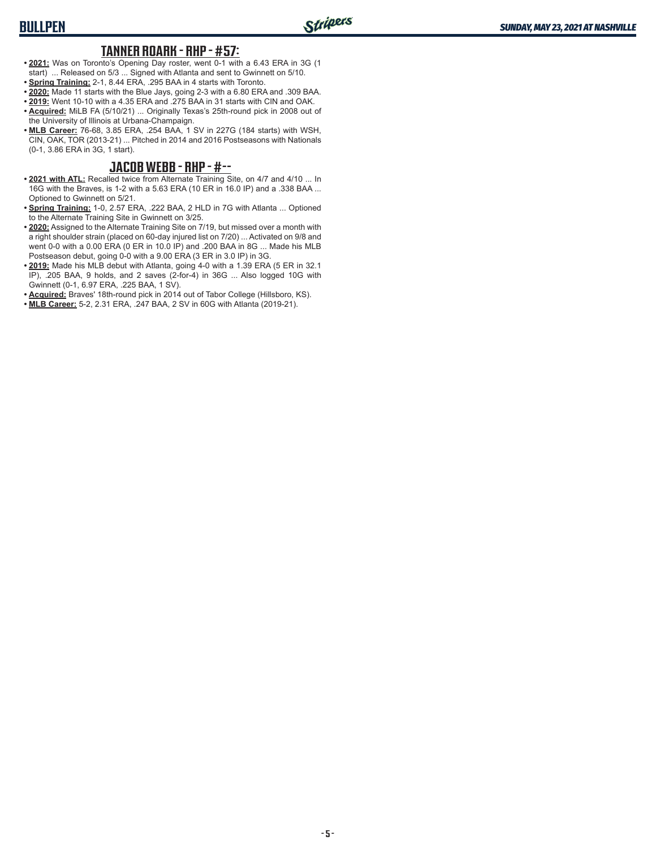#### **TANNER ROARK - RHP - #57:**

- **• 2021:** Was on Toronto's Opening Day roster, went 0-1 with a 6.43 ERA in 3G (1 start) ... Released on 5/3 ... Signed with Atlanta and sent to Gwinnett on 5/10.
- **• Spring Training:** 2-1, 8.44 ERA, .295 BAA in 4 starts with Toronto.
- **• 2020:** Made 11 starts with the Blue Jays, going 2-3 with a 6.80 ERA and .309 BAA.
- **• 2019:** Went 10-10 with a 4.35 ERA and .275 BAA in 31 starts with CIN and OAK.
- **• Acquired:** MiLB FA (5/10/21) ... Originally Texas's 25th-round pick in 2008 out of the University of Illinois at Urbana-Champaign.
- **• MLB Career:** 76-68, 3.85 ERA, .254 BAA, 1 SV in 227G (184 starts) with WSH, CIN, OAK, TOR (2013-21) ... Pitched in 2014 and 2016 Postseasons with Nationals (0-1, 3.86 ERA in 3G, 1 start).

#### **JACOB WEBB - RHP - #--**

- **• 2021 with ATL:** Recalled twice from Alternate Training Site, on 4/7 and 4/10 ... In 16G with the Braves, is 1-2 with a 5.63 ERA (10 ER in 16.0 IP) and a .338 BAA ... Optioned to Gwinnett on 5/21.
- **• Spring Training:** 1-0, 2.57 ERA, .222 BAA, 2 HLD in 7G with Atlanta ... Optioned to the Alternate Training Site in Gwinnett on 3/25.
- **• 2020:** Assigned to the Alternate Training Site on 7/19, but missed over a month with a right shoulder strain (placed on 60-day injured list on 7/20) ... Activated on 9/8 and went 0-0 with a 0.00 ERA (0 ER in 10.0 IP) and .200 BAA in 8G ... Made his MLB Postseason debut, going 0-0 with a 9.00 ERA (3 ER in 3.0 IP) in 3G.
- **• 2019:** Made his MLB debut with Atlanta, going 4-0 with a 1.39 ERA (5 ER in 32.1 IP), .205 BAA, 9 holds, and 2 saves (2-for-4) in 36G ... Also logged 10G with Gwinnett (0-1, 6.97 ERA, .225 BAA, 1 SV).
- **• Acquired:** Braves' 18th-round pick in 2014 out of Tabor College (Hillsboro, KS).
- **• MLB Career:** 5-2, 2.31 ERA, .247 BAA, 2 SV in 60G with Atlanta (2019-21).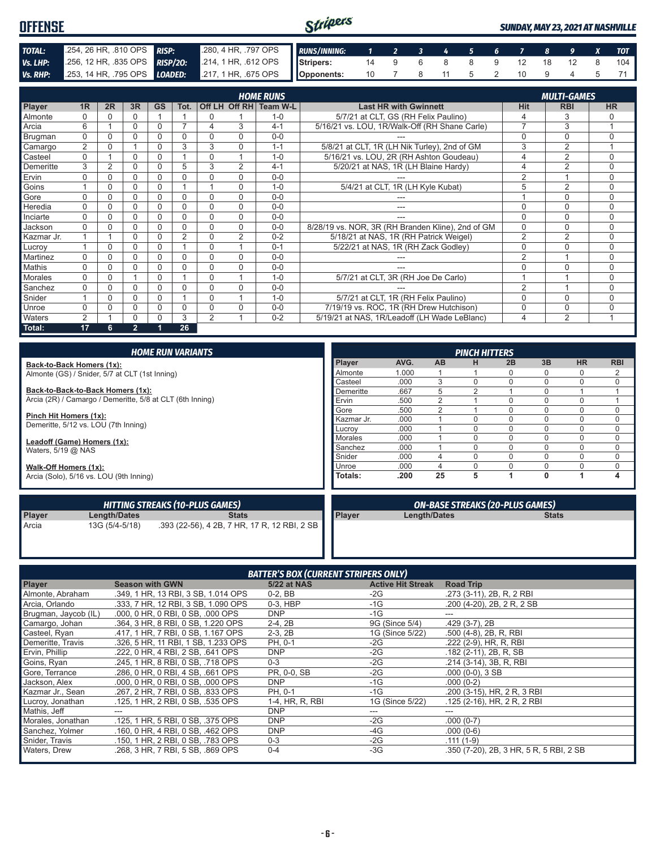| <b>OFFENSE</b> |                           |  |                                                                                         |  |  |  | Stripers |  |  |  |  |  | <b>SUNDAY, MAY 23, 2021 AT NASHVILLE</b> |  |  |  |  |  |  |
|----------------|---------------------------|--|-----------------------------------------------------------------------------------------|--|--|--|----------|--|--|--|--|--|------------------------------------------|--|--|--|--|--|--|
| TOTAL:         | 254, 26 HR, 810 OPS RISP: |  | 280, 4 HR, 797 OPS RUNS/INNING: 1 2 3 4 5 6 7 8 9 X TOT                                 |  |  |  |          |  |  |  |  |  |                                          |  |  |  |  |  |  |
| Vs. LHP:       |                           |  | 256, 12 HR, 835 OPS RISP/20: 214, 1 HR, 612 OPS Stripers: 14 9 6 8 8 9 12 18 12 8 104   |  |  |  |          |  |  |  |  |  |                                          |  |  |  |  |  |  |
|                |                           |  | Vs. RHP: 253, 14 HR, 795 OPS LOADED: 217, 1 HR, 675 OPS Opponents: 10 7 8 11 5 2 10 9 4 |  |  |  |          |  |  |  |  |  |                                          |  |  |  |  |  |  |

| <b>HOME RUNS</b><br><b>MULTI-GAMES</b> |                |          |          |           |          |                |                |                        |                                                   |                |                |           |
|----------------------------------------|----------------|----------|----------|-----------|----------|----------------|----------------|------------------------|---------------------------------------------------|----------------|----------------|-----------|
| Player                                 | 1 <sub>R</sub> | 2R       | 3R       | <b>GS</b> | Tot.     |                |                | Off LH Off RH Team W-L | <b>Last HR with Gwinnett</b>                      | Hit            | <b>RBI</b>     | <b>HR</b> |
| Almonte                                | $\Omega$       |          | 0        |           |          | 0              |                | $1 - 0$                | 5/7/21 at CLT, GS (RH Felix Paulino)              | 4              | 3              |           |
| Arcia                                  | 6              |          | 0        | 0         |          | 4              | 3              | $4 - 1$                | 5/16/21 vs. LOU, 1R/Walk-Off (RH Shane Carle)     | 7              | 3              |           |
| Brugman                                | $\Omega$       |          |          |           |          | $\Omega$       | $\Omega$       | $0 - 0$                |                                                   | $\Omega$       | $\Omega$       | $\Omega$  |
| Camargo                                | $\overline{2}$ | U        |          | $\Omega$  | 3        | 3              | $\Omega$       | $1 - 1$                | 5/8/21 at CLT, 1R (LH Nik Turley), 2nd of GM      | 3              | $\overline{2}$ |           |
| Casteel                                | $\Omega$       |          | 0        | 0         |          | $\Omega$       |                | $1 - 0$                | 5/16/21 vs. LOU, 2R (RH Ashton Goudeau)           | 4              | $\overline{2}$ | $\Omega$  |
| Demeritte                              | 3              | 2        | 0        | 0         | 5        | 3              | $\overline{2}$ | $4 - 1$                | 5/20/21 at NAS, 1R (LH Blaine Hardy)              | $\overline{4}$ | $\overline{2}$ | 0         |
| Ervin                                  | U              |          | 0        |           | 0        | 0              | $\Omega$       | $0 - 0$                |                                                   | $\overline{2}$ |                | 0         |
| Goins                                  |                | $\Omega$ | 0        | 0         |          |                | $\Omega$       | $1 - 0$                | 5/4/21 at CLT, 1R (LH Kyle Kubat)                 | 5              | $\overline{2}$ | $\Omega$  |
| Gore                                   | $\Omega$       |          | 0        | $\cap$    | 0        | $\Omega$       | $\Omega$       | $0 - 0$                |                                                   |                | 0              | $\Omega$  |
| Heredia                                | $\Omega$       | $\Omega$ | 0        | 0         | $\Omega$ | $\Omega$       | $\Omega$       | $0 - 0$                | ---                                               | $\Omega$       | $\Omega$       | $\Omega$  |
| Inciarte                               | $\Omega$       | U        | 0        | $\cap$    | 0        | $\Omega$       | $\Omega$       | $0 - 0$                | ---                                               | 0              | 0              | 0         |
| Jackson                                | $\Omega$       | $\Omega$ | 0        | 0         | $\Omega$ | $\Omega$       | $\Omega$       | $0 - 0$                | 8/28/19 vs. NOR, 3R (RH Branden Kline), 2nd of GM | $\Omega$       | $\mathbf 0$    | 0         |
| Kazmar Jr.                             |                |          | 0        | $\cap$    | 2        | 0              | 2              | $0 - 2$                | 5/18/21 at NAS, 1R (RH Patrick Weigel)            | $\overline{2}$ | $\overline{2}$ | 0         |
| Lucroy                                 |                | $\Omega$ | 0        | 0         |          | $\Omega$       |                | $0 - 1$                | 5/22/21 at NAS, 1R (RH Zack Godley)               | $\mathbf 0$    | 0              | 0         |
| Martinez                               | $\Omega$       | U        | 0        | $\cap$    | $\Omega$ | $\Omega$       | $\Omega$       | $0 - 0$                |                                                   | $\overline{2}$ |                | 0         |
| <b>Mathis</b>                          | $\Omega$       | $\Omega$ | $\Omega$ | 0         | $\Omega$ | $\Omega$       | $\Omega$       | $0 - 0$                | ---                                               | $\Omega$       | $\Omega$       | 0         |
| <b>Morales</b>                         | $\Omega$       | 0        |          | 0         |          | $\Omega$       |                | $1 - 0$                | 5/7/21 at CLT, 3R (RH Joe De Carlo)               |                |                | $\Omega$  |
| Sanchez                                | $\Omega$       | $\Omega$ | 0        | 0         | $\Omega$ | $\Omega$       | $\Omega$       | $0 - 0$                |                                                   | $\overline{2}$ |                | 0         |
| Snider                                 |                | O        | 0        | 0         |          | $\Omega$       |                | $1 - 0$                | 5/7/21 at CLT, 1R (RH Felix Paulino)              | 0              | 0              | 0         |
| Unroe                                  | $\Omega$       | U        | 0        | 0         | $\Omega$ | $\Omega$       | $\Omega$       | $0 - 0$                | 7/19/19 vs. ROC, 1R (RH Drew Hutchison)           | $\Omega$       | 0              | 0         |
| Waters                                 | $\overline{2}$ |          | 0        |           | 3        | $\overline{2}$ |                | $0 - 2$                | 5/19/21 at NAS, 1R/Leadoff (LH Wade LeBlanc)      | $\overline{4}$ | $\overline{2}$ |           |
| Total:                                 | 17             | 6        | 2.       |           | 26       |                |                |                        |                                                   |                |                |           |

| <b>HOME RUN VARIANTS</b>                                  |                |       |                     | <b>PINCH HITTERS</b> |                                        |              |           |             |
|-----------------------------------------------------------|----------------|-------|---------------------|----------------------|----------------------------------------|--------------|-----------|-------------|
| Back-to-Back Homers (1x):                                 | <b>Player</b>  | AVG.  | <b>AB</b>           | н                    | 2B                                     | 3B           | <b>HR</b> | <b>RBI</b>  |
| Almonte (GS) / Snider, 5/7 at CLT (1st Inning)            | Almonte        | 1.000 |                     |                      | O                                      | $\Omega$     | $\Omega$  | 2           |
|                                                           | Casteel        | .000  | 3                   |                      | 0                                      | $\Omega$     | $\Omega$  | $\Omega$    |
| Back-to-Back-to-Back Homers (1x):                         | Demeritte      | .667  | 5                   | 2                    |                                        | $\Omega$     |           |             |
| Arcia (2R) / Camargo / Demeritte, 5/8 at CLT (6th Inning) | Ervin          | .500  | 2                   |                      | 0                                      | $\Omega$     | 0         |             |
|                                                           | Gore           | .500  | 2                   |                      | 0                                      | $\Omega$     | 0         | 0           |
| Pinch Hit Homers (1x):                                    | Kazmar Jr.     | .000  |                     | $\Omega$             | 0                                      | $\Omega$     | 0         | 0           |
| Demeritte, 5/12 vs. LOU (7th Inning)                      | Lucrov         | .000  |                     | $\Omega$             | $\Omega$                               | $\Omega$     | 0         | 0           |
| Leadoff (Game) Homers (1x):                               | <b>Morales</b> | .000  |                     | $\Omega$             | $\Omega$                               | $\Omega$     | $\Omega$  | 0           |
| Waters, $5/19$ @ NAS                                      | Sanchez        | .000  |                     | O                    | 0                                      | $\Omega$     | $\Omega$  | 0           |
|                                                           | Snider         | .000. | 4                   |                      | 0                                      |              | $\Omega$  | $\mathbf 0$ |
| Walk-Off Homers (1x):                                     | Unroe          | .000  |                     |                      | 0                                      |              | $\Omega$  | 0           |
| Arcia (Solo), 5/16 vs. LOU (9th Inning)                   | Totals:        | .200  | 25                  | 5                    |                                        | $\Omega$     |           | 4           |
| <b>HITTING STREAKS (10-PLUS GAMES)</b>                    |                |       |                     |                      | <b>ON-BASE STREAKS (20-PLUS GAMES)</b> |              |           |             |
| <b>Player</b><br><b>Length/Dates</b><br><b>Stats</b>      | <b>Player</b>  |       | <b>Length/Dates</b> |                      |                                        | <b>Stats</b> |           |             |

|               |                     | HITTING STREAKS (10-PLUS GAMES)              |               | ON-BASE STREAKS (20-PLUS GAMES) |              |  |
|---------------|---------------------|----------------------------------------------|---------------|---------------------------------|--------------|--|
| <b>Player</b> | <b>Length/Dates</b> | Stats                                        | <b>Plaver</b> | <b>Length/Dates</b>             | <b>Stats</b> |  |
| Arcia         | 13G (5/4-5/18)      | .393 (22-56), 4 2B, 7 HR, 17 R, 12 RBI, 2 SB |               |                                 |              |  |

| <b>BATTER'S BOX (CURRENT STRIPERS ONLY)</b> |                                     |                 |                          |                                         |  |
|---------------------------------------------|-------------------------------------|-----------------|--------------------------|-----------------------------------------|--|
| <b>Player</b>                               | <b>Season with GWN</b>              | 5/22 at NAS     | <b>Active Hit Streak</b> | <b>Road Trip</b>                        |  |
| Almonte, Abraham                            | .349, 1 HR, 13 RBI, 3 SB, 1.014 OPS | $0-2, BB$       | $-2G$                    | .273 (3-11), 2B, R, 2 RBI               |  |
| Arcia, Orlando                              | .333, 7 HR, 12 RBI, 3 SB, 1.090 OPS | 0-3, HBP        | $-1G$                    | .200 (4-20), 2B, 2R, 2SB                |  |
| Brugman, Jaycob (IL)                        | .000, 0 HR, 0 RBI, 0 SB, .000 OPS   | DNP             | $-1G$                    |                                         |  |
| Camargo, Johan                              | .364. 3 HR. 8 RBI. 0 SB. 1.220 OPS  | $2-4, 2B$       | 9G (Since 5/4)           | $.429(3-7), 2B$                         |  |
| Casteel, Ryan                               | .417, 1 HR, 7 RBI, 0 SB, 1.167 OPS  | $2-3, 2B$       | 1G (Since 5/22)          | .500 (4-8), 2B, R, RBI                  |  |
| Demeritte, Travis                           | .326, 5 HR, 11 RBI, 1 SB, 1.233 OPS | PH, 0-1         | $-2G$                    | .222 (2-9), HR, R, RBI                  |  |
| Ervin, Phillip                              | .222, 0 HR, 4 RBI, 2 SB, .641 OPS   | <b>DNP</b>      | -2G                      | .182 (2-11), 2B, R, SB                  |  |
| Goins, Ryan                                 | .245. 1 HR. 8 RBI. 0 SB. .718 OPS   | $0 - 3$         | $-2G$                    | .214 (3-14), 3B, R, RBI                 |  |
| Gore, Terrance                              | .286, 0 HR, 0 RBI, 4 SB, .661 OPS   | PR, 0-0, SB     | $-2G$                    | $.000(0-0), 3SB$                        |  |
| Jackson, Alex                               | .000, 0 HR, 0 RBI, 0 SB, .000 OPS   | <b>DNP</b>      | $-1G$                    | $.000(0-2)$                             |  |
| Kazmar Jr., Sean                            | .267, 2 HR, 7 RBI, 0 SB, .833 OPS   | PH, 0-1         | $-1G$                    | .200 (3-15), HR, 2 R, 3 RBI             |  |
| Lucroy, Jonathan                            | .125. 1 HR. 2 RBI. 0 SB. .535 OPS   | 1-4, HR, R, RBI | 1G (Since 5/22)          | .125 (2-16), HR, 2 R, 2 RBI             |  |
| Mathis, Jeff                                | ---                                 | <b>DNP</b>      | ---                      | ---                                     |  |
| Morales, Jonathan                           | .125, 1 HR, 5 RBI, 0 SB, .375 OPS   | <b>DNP</b>      | $-2G$                    | $.000(0-7)$                             |  |
| Sanchez, Yolmer                             | .160, 0 HR, 4 RBI, 0 SB, .462 OPS   | <b>DNP</b>      | -4G                      | $.000(0-6)$                             |  |
| Snider, Travis                              | .150, 1 HR, 2 RBI, 0 SB, .783 OPS   | $0 - 3$         | $-2G$                    | $.111(1-9)$                             |  |
| <b>Waters, Drew</b>                         | .268, 3 HR, 7 RBI, 5 SB, .869 OPS   | $0 - 4$         | $-3G$                    | .350 (7-20), 2B, 3 HR, 5 R, 5 RBI, 2 SB |  |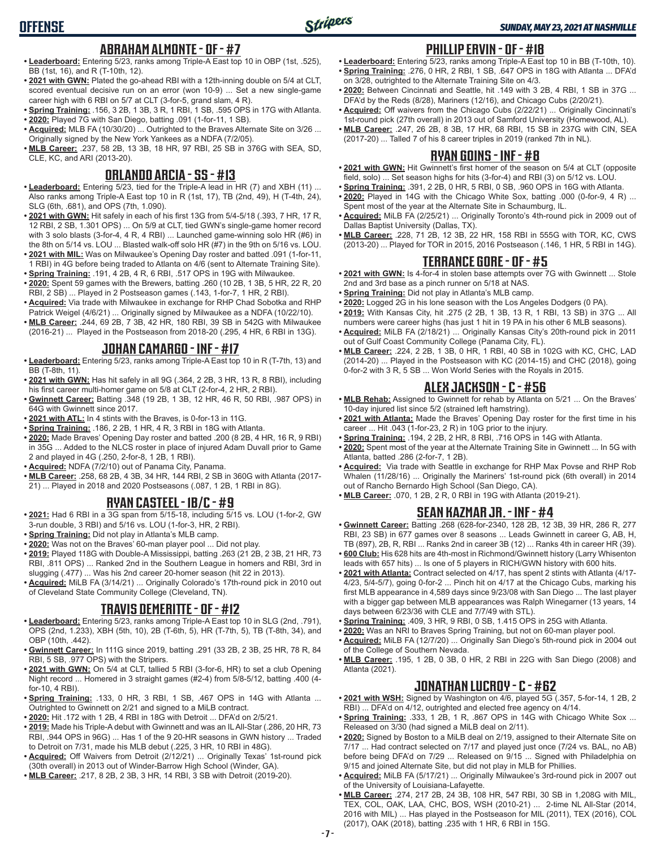### **ABRAHAM ALMONTE - OF - #7**

**OFFENSE**

- **• Leaderboard:** Entering 5/23, ranks among Triple-A East top 10 in OBP (1st, .525), BB (1st, 16), and R (T-10th, 12).
- **• 2021 with GWN:** Plated the go-ahead RBI with a 12th-inning double on 5/4 at CLT, scored eventual decisive run on an error (won 10-9) ... Set a new single-game career high with 6 RBI on 5/7 at CLT (3-for-5, grand slam, 4 R).
- **• Spring Training:** .156, 3 2B, 1 3B, 3 R, 1 RBI, 1 SB, .595 OPS in 17G with Atlanta.
- **• 2020:** Played 7G with San Diego, batting .091 (1-for-11, 1 SB).
- **• Acquired:** MLB FA (10/30/20) ... Outrighted to the Braves Alternate Site on 3/26 ... Originally signed by the New York Yankees as a NDFA (7/2/05).
- **• MLB Career:** .237, 58 2B, 13 3B, 18 HR, 97 RBI, 25 SB in 376G with SEA, SD, CLE, KC, and ARI (2013-20).

#### **ORLANDO ARCIA - SS - #13**

- **• Leaderboard:** Entering 5/23, tied for the Triple-A lead in HR (7) and XBH (11) ... Also ranks among Triple-A East top 10 in R (1st, 17), TB (2nd, 49), H (T-4th, 24), SLG (6th, .681), and OPS (7th, 1.090).
- **• 2021 with GWN:** Hit safely in each of his first 13G from 5/4-5/18 (.393, 7 HR, 17 R, 12 RBI, 2 SB, 1.301 OPS) ... On 5/9 at CLT, tied GWN's single-game homer record with 3 solo blasts (3-for-4, 4 R, 4 RBI) ... Launched game-winning solo HR (#6) in the 8th on 5/14 vs. LOU ... Blasted walk-off solo HR (#7) in the 9th on 5/16 vs. LOU.
- **• 2021 with MIL:** Was on Milwaukee's Opening Day roster and batted .091 (1-for-11, 1 RBI) in 4G before being traded to Atlanta on 4/6 (sent to Alternate Training Site).
- **• Spring Training:** .191, 4 2B, 4 R, 6 RBI, .517 OPS in 19G with Milwaukee. **• 2020:** Spent 59 games with the Brewers, batting .260 (10 2B, 1 3B, 5 HR, 22 R, 20
- RBI, 2 SB) ... Played in 2 Postseason games (.143, 1-for-7, 1 HR, 2 RBI). **• Acquired:** Via trade with Milwaukee in exchange for RHP Chad Sobotka and RHP Patrick Weigel (4/6/21) ... Originally signed by Milwaukee as a NDFA (10/22/10).
- **• MLB Career:** .244, 69 2B, 7 3B, 42 HR, 180 RBI, 39 SB in 542G with Milwaukee (2016-21) ... Played in the Postseason from 2018-20 (.295, 4 HR, 6 RBI in 13G).

### **JOHAN CAMARGO - INF - #17**

- **• Leaderboard:** Entering 5/23, ranks among Triple-A East top 10 in R (T-7th, 13) and BB (T-8th, 11).
- **• 2021 with GWN:** Has hit safely in all 9G (.364, 2 2B, 3 HR, 13 R, 8 RBI), including his first career multi-homer game on 5/8 at CLT (2-for-4, 2 HR, 2 RBI).
- **• Gwinnett Career:** Batting .348 (19 2B, 1 3B, 12 HR, 46 R, 50 RBI, .987 OPS) in 64G with Gwinnett since 2017.
- **• 2021 with ATL:** In 4 stints with the Braves, is 0-for-13 in 11G.
- **• Spring Training:** .186, 2 2B, 1 HR, 4 R, 3 RBI in 18G with Atlanta.
- **• 2020:** Made Braves' Opening Day roster and batted .200 (8 2B, 4 HR, 16 R, 9 RBI) in 35G ... Added to the NLCS roster in place of injured Adam Duvall prior to Game 2 and played in 4G (.250, 2-for-8, 1 2B, 1 RBI).
- **• Acquired:** NDFA (7/2/10) out of Panama City, Panama.
- **• MLB Career:** .258, 68 2B, 4 3B, 34 HR, 144 RBI, 2 SB in 360G with Atlanta (2017- 21) ... Played in 2018 and 2020 Postseasons (.087, 1 2B, 1 RBI in 8G).

### **RYAN CASTEEL - 1B/C - #9**

- **• 2021:** Had 6 RBI in a 3G span from 5/15-18, including 5/15 vs. LOU (1-for-2, GW 3-run double, 3 RBI) and 5/16 vs. LOU (1-for-3, HR, 2 RBI).
- **• Spring Training:** Did not play in Atlanta's MLB camp.
- **• 2020:** Was not on the Braves' 60-man player pool ... Did not play.
- **• 2019:** Played 118G with Double-A Mississippi, batting .263 (21 2B, 2 3B, 21 HR, 73 RBI, .811 OPS) ... Ranked 2nd in the Southern League in homers and RBI, 3rd in slugging (.477) ... Was his 2nd career 20-homer season (hit 22 in 2013).
- **• Acquired:** MiLB FA (3/14/21) ... Originally Colorado's 17th-round pick in 2010 out of Cleveland State Community College (Cleveland, TN).

### **TRAVIS DEMERITTE - OF - #12**

- **• Leaderboard:** Entering 5/23, ranks among Triple-A East top 10 in SLG (2nd, .791), OPS (2nd, 1.233), XBH (5th, 10), 2B (T-6th, 5), HR (T-7th, 5), TB (T-8th, 34), and OBP (10th, .442).
- **• Gwinnett Career:** In 111G since 2019, batting .291 (33 2B, 2 3B, 25 HR, 78 R, 84 RBI, 5 SB, .977 OPS) with the Stripers.
- **• 2021 with GWN:** On 5/4 at CLT, tallied 5 RBI (3-for-6, HR) to set a club Opening Night record ... Homered in 3 straight games (#2-4) from 5/8-5/12, batting .400 (4 for-10, 4 RBI).
- **• Spring Training:** .133, 0 HR, 3 RBI, 1 SB, .467 OPS in 14G with Atlanta ... Outrighted to Gwinnett on 2/21 and signed to a MiLB contract.
- **• 2020:** Hit .172 with 1 2B, 4 RBI in 18G with Detroit ... DFA'd on 2/5/21.
- **• 2019:** Made his Triple-A debut with Gwinnett and was an IL All-Star (.286, 20 HR, 73 RBI, .944 OPS in 96G) ... Has 1 of the 9 20-HR seasons in GWN history ... Traded to Detroit on 7/31, made his MLB debut (.225, 3 HR, 10 RBI in 48G).
- **• Acquired:** Off Waivers from Detroit (2/12/21) ... Originally Texas' 1st-round pick (30th overall) in 2013 out of Winder-Barrow High School (Winder, GA).
- **• MLB Career:** .217, 8 2B, 2 3B, 3 HR, 14 RBI, 3 SB with Detroit (2019-20).

#### **PHILLIP ERVIN - OF - #18**

- **• Leaderboard:** Entering 5/23, ranks among Triple-A East top 10 in BB (T-10th, 10). **• Spring Training:** .276, 0 HR, 2 RBI, 1 SB, .647 OPS in 18G with Atlanta ... DFA'd on 3/28, outrighted to the Alternate Training Site on 4/3.
- **• 2020:** Between Cincinnati and Seattle, hit .149 with 3 2B, 4 RBI, 1 SB in 37G ... DFA'd by the Reds (8/28), Mariners (12/16), and Chicago Cubs (2/20/21).
- **• Acquired:** Off waivers from the Chicago Cubs (2/22/21) ... Originally Cincinnati's 1st-round pick (27th overall) in 2013 out of Samford University (Homewood, AL).
- **• MLB Career:** .247, 26 2B, 8 3B, 17 HR, 68 RBI, 15 SB in 237G with CIN, SEA (2017-20) ... Talled 7 of his 8 career triples in 2019 (ranked 7th in NL).

#### **RYAN GOINS - INF - #8**

- **• 2021 with GWN:** Hit Gwinnett's first homer of the season on 5/4 at CLT (opposite field, solo) ... Set season highs for hits (3-for-4) and RBI (3) on 5/12 vs. LOU.
- **• Spring Training:** .391, 2 2B, 0 HR, 5 RBI, 0 SB, .960 OPS in 16G with Atlanta.
- **• 2020:** Played in 14G with the Chicago White Sox, batting .000 (0-for-9, 4 R) ... Spent most of the year at the Alternate Site in Schaumburg, IL.
- **• Acquired:** MiLB FA (2/25/21) ... Originally Toronto's 4th-round pick in 2009 out of Dallas Baptist University (Dallas, TX).
- **• MLB Career:** .228, 71 2B, 12 3B, 22 HR, 158 RBI in 555G with TOR, KC, CWS (2013-20) ... Played for TOR in 2015, 2016 Postseason (.146, 1 HR, 5 RBI in 14G).

#### **TERRANCE GORE - OF - #5**

- **• 2021 with GWN:** Is 4-for-4 in stolen base attempts over 7G with Gwinnett ... Stole 2nd and 3rd base as a pinch runner on 5/18 at NAS.
- **• Spring Training:** Did not play in Atlanta's MLB camp.
- **• 2020:** Logged 2G in his lone season with the Los Angeles Dodgers (0 PA).
- **• 2019:** With Kansas City, hit .275 (2 2B, 1 3B, 13 R, 1 RBI, 13 SB) in 37G ... All numbers were career highs (has just 1 hit in 19 PA in his other 6 MLB seasons).
- **• Acquired:** MiLB FA (2/18/21) ... Originally Kansas City's 20th-round pick in 2011 out of Gulf Coast Community College (Panama City, FL).
- **• MLB Career:** .224, 2 2B, 1 3B, 0 HR, 1 RBI, 40 SB in 102G with KC, CHC, LAD (2014-20) ... Played in the Postseason with KC (2014-15) and CHC (2018), going 0-for-2 with 3 R, 5 SB ... Won World Series with the Royals in 2015.

#### **ALEX JACKSON - C - #56**

- **• MLB Rehab:** Assigned to Gwinnett for rehab by Atlanta on 5/21 ... On the Braves' 10-day injured list since 5/2 (strained left hamstring).
- **• 2021 with Atlanta:** Made the Braves' Opening Day roster for the first time in his career ... Hit .043 (1-for-23, 2 R) in 10G prior to the injury.
- **• Spring Training:** .194, 2 2B, 2 HR, 8 RBI, .716 OPS in 14G with Atlanta.
- **• 2020:** Spent most of the year at the Alternate Training Site in Gwinnett ... In 5G with Atlanta, batted .286 (2-for-7, 1 2B).
- **• Acquired:** Via trade with Seattle in exchange for RHP Max Povse and RHP Rob Whalen (11/28/16) ... Originally the Mariners' 1st-round pick (6th overall) in 2014 out of Rancho Bernardo High School (San Diego, CA).
- **• MLB Career:** .070, 1 2B, 2 R, 0 RBI in 19G with Atlanta (2019-21).

#### **SEAN KAZMAR JR. - INF - #4**

- **• Gwinnett Career:** Batting .268 (628-for-2340, 128 2B, 12 3B, 39 HR, 286 R, 277 RBI, 23 SB) in 677 games over 8 seasons ... Leads Gwinnett in career G, AB, H, TB (897), 2B, R, RBI ... Ranks 2nd in career 3B (12) ... Ranks 4th in career HR (39).
- **• 600 Club:** His 628 hits are 4th-most in Richmond/Gwinnett history (Larry Whisenton leads with 657 hits) ... Is one of 5 players in RICH/GWN history with 600 hits.
- **• 2021 with Atlanta:** Contract selected on 4/17, has spent 2 stints with Atlanta (4/17- 4/23, 5/4-5/7), going 0-for-2 ... Pinch hit on 4/17 at the Chicago Cubs, marking his first MLB appearance in 4,589 days since 9/23/08 with San Diego ... The last player with a bigger gap between MLB appearances was Ralph Winegarner (13 years, 14 days between 6/23/36 with CLE and 7/7/49 with STL).
- **• Spring Training:** .409, 3 HR, 9 RBI, 0 SB, 1.415 OPS in 25G with Atlanta.
- **• 2020:** Was an NRI to Braves Spring Training, but not on 60-man player pool. **• Acquired:** MiLB FA (12/7/20) ... Originally San Diego's 5th-round pick in 2004 out of the College of Southern Nevada.
- **• MLB Career:** .195, 1 2B, 0 3B, 0 HR, 2 RBI in 22G with San Diego (2008) and Atlanta (2021).

#### **JONATHAN LUCROY - C - #62**

- **• 2021 with WSH:** Signed by Washington on 4/6, played 5G (.357, 5-for-14, 1 2B, 2 RBI) ... DFA'd on 4/12, outrighted and elected free agency on 4/14.
- **• Spring Training:** .333, 1 2B, 1 R, .867 OPS in 14G with Chicago White Sox ... Released on 3/30 (had signed a MiLB deal on 2/11).
- **• 2020:** Signed by Boston to a MiLB deal on 2/19, assigned to their Alternate Site on 7/17 ... Had contract selected on 7/17 and played just once (7/24 vs. BAL, no AB) before being DFA'd on 7/29 ... Released on 9/15 ... Signed with Philadelphia on 9/15 and joined Alternate Site, but did not play in MLB for Phillies.
- **• Acquired:** MiLB FA (5/17/21) ... Originally Milwaukee's 3rd-round pick in 2007 out of the University of Louisiana-Lafayette.
- **• MLB Career:** .274, 217 2B, 24 3B, 108 HR, 547 RBI, 30 SB in 1,208G with MIL, TEX, COL, OAK, LAA, CHC, BOS, WSH (2010-21) ... 2-time NL All-Star (2014, 2016 with MIL) ... Has played in the Postseason for MIL (2011), TEX (2016), COL (2017), OAK (2018), batting .235 with 1 HR, 6 RBI in 15G.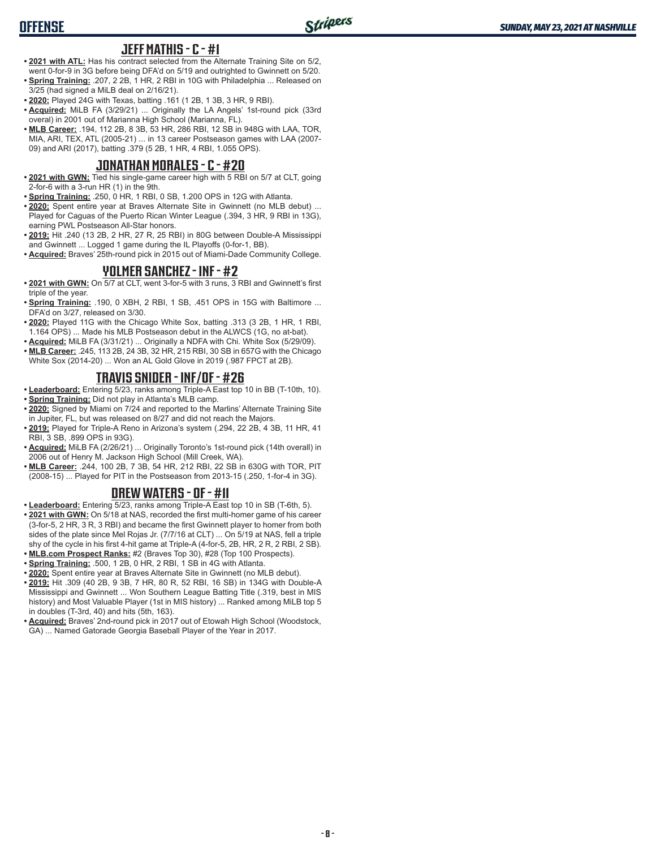### **JEFF MATHIS - C - #1**

- **• 2021 with ATL:** Has his contract selected from the Alternate Training Site on 5/2, went 0-for-9 in 3G before being DFA'd on 5/19 and outrighted to Gwinnett on 5/20.
- **• Spring Training:** .207, 2 2B, 1 HR, 2 RBI in 10G with Philadelphia ... Released on 3/25 (had signed a MiLB deal on 2/16/21).
- **• 2020:** Played 24G with Texas, batting .161 (1 2B, 1 3B, 3 HR, 9 RBI).
- **• Acquired:** MiLB FA (3/29/21) ... Originally the LA Angels' 1st-round pick (33rd overal) in 2001 out of Marianna High School (Marianna, FL).
- **• MLB Career:** .194, 112 2B, 8 3B, 53 HR, 286 RBI, 12 SB in 948G with LAA, TOR, MIA, ARI, TEX, ATL (2005-21) ... in 13 career Postseason games with LAA (2007- 09) and ARI (2017), batting .379 (5 2B, 1 HR, 4 RBI, 1.055 OPS).

### **JONATHAN MORALES - C - #20**

- **• 2021 with GWN:** Tied his single-game career high with 5 RBI on 5/7 at CLT, going 2-for-6 with a 3-run HR (1) in the 9th.
- **• Spring Training:** .250, 0 HR, 1 RBI, 0 SB, 1.200 OPS in 12G with Atlanta.
- **• 2020:** Spent entire year at Braves Alternate Site in Gwinnett (no MLB debut) ... Played for Caguas of the Puerto Rican Winter League (.394, 3 HR, 9 RBI in 13G), earning PWL Postseason All-Star honors.
- **• 2019:** Hit .240 (13 2B, 2 HR, 27 R, 25 RBI) in 80G between Double-A Mississippi and Gwinnett ... Logged 1 game during the IL Playoffs (0-for-1, BB).
- **• Acquired:** Braves' 25th-round pick in 2015 out of Miami-Dade Community College.

### **YOLMER SANCHEZ - INF - #2**

- **• 2021 with GWN:** On 5/7 at CLT, went 3-for-5 with 3 runs, 3 RBI and Gwinnett's first triple of the year.
- **• Spring Training:** .190, 0 XBH, 2 RBI, 1 SB, .451 OPS in 15G with Baltimore ... DFA'd on 3/27, released on 3/30.
- **• 2020:** Played 11G with the Chicago White Sox, batting .313 (3 2B, 1 HR, 1 RBI, 1.164 OPS) ... Made his MLB Postseason debut in the ALWCS (1G, no at-bat).
- **• Acquired:** MiLB FA (3/31/21) ... Originally a NDFA with Chi. White Sox (5/29/09).
- **• MLB Career:** .245, 113 2B, 24 3B, 32 HR, 215 RBI, 30 SB in 657G with the Chicago White Sox (2014-20) ... Won an AL Gold Glove in 2019 (.987 FPCT at 2B).

### **TRAVIS SNIDER - INF/OF - #26**

**• Leaderboard:** Entering 5/23, ranks among Triple-A East top 10 in BB (T-10th, 10). **• Spring Training:** Did not play in Atlanta's MLB camp.

- **• 2020:** Signed by Miami on 7/24 and reported to the Marlins' Alternate Training Site in Jupiter, FL, but was released on 8/27 and did not reach the Majors.
- **• 2019:** Played for Triple-A Reno in Arizona's system (.294, 22 2B, 4 3B, 11 HR, 41 RBI, 3 SB, .899 OPS in 93G).
- **• Acquired:** MiLB FA (2/26/21) ... Originally Toronto's 1st-round pick (14th overall) in 2006 out of Henry M. Jackson High School (Mill Creek, WA).
- **• MLB Career:** .244, 100 2B, 7 3B, 54 HR, 212 RBI, 22 SB in 630G with TOR, PIT (2008-15) ... Played for PIT in the Postseason from 2013-15 (.250, 1-for-4 in 3G).

#### **DREW WATERS - OF - #11**

**• Leaderboard:** Entering 5/23, ranks among Triple-A East top 10 in SB (T-6th, 5).

- **• 2021 with GWN:** On 5/18 at NAS, recorded the first multi-homer game of his career (3-for-5, 2 HR, 3 R, 3 RBI) and became the first Gwinnett player to homer from both sides of the plate since Mel Rojas Jr. (7/7/16 at CLT) ... On 5/19 at NAS, fell a triple shy of the cycle in his first 4-hit game at Triple-A (4-for-5, 2B, HR, 2 R, 2 RBI, 2 SB).
- **• MLB.com Prospect Ranks:** #2 (Braves Top 30), #28 (Top 100 Prospects).
- **• Spring Training:** .500, 1 2B, 0 HR, 2 RBI, 1 SB in 4G with Atlanta.
- **• 2020:** Spent entire year at Braves Alternate Site in Gwinnett (no MLB debut).
- **• 2019:** Hit .309 (40 2B, 9 3B, 7 HR, 80 R, 52 RBI, 16 SB) in 134G with Double-A Mississippi and Gwinnett ... Won Southern League Batting Title (.319, best in MIS history) and Most Valuable Player (1st in MIS history) ... Ranked among MiLB top 5 in doubles (T-3rd, 40) and hits (5th, 163).
- **• Acquired:** Braves' 2nd-round pick in 2017 out of Etowah High School (Woodstock, GA) ... Named Gatorade Georgia Baseball Player of the Year in 2017.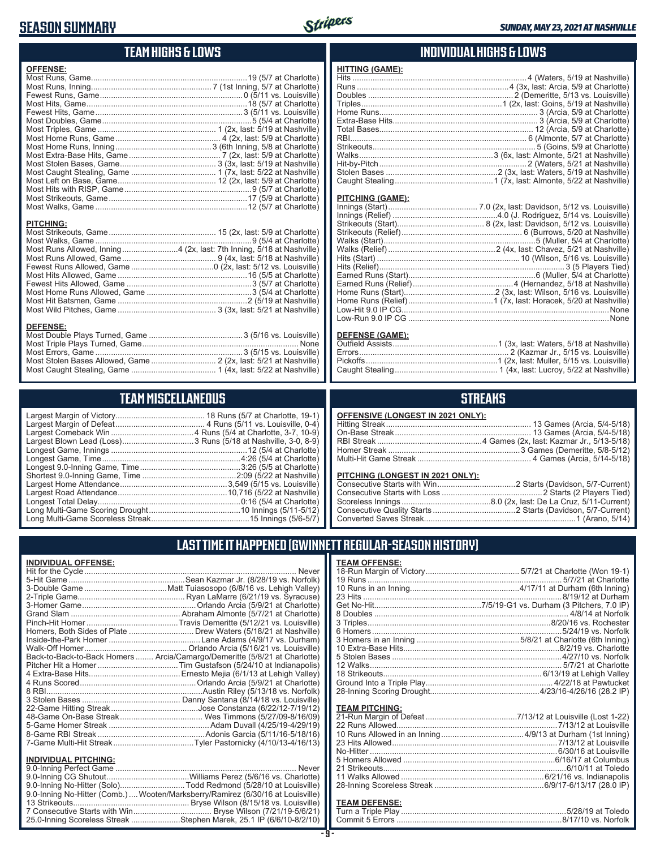# **SEASON SUMMARY**



# **TEAM HIGHS & LOWS**

| <b>OFFENSE:</b>                                                      |  |
|----------------------------------------------------------------------|--|
|                                                                      |  |
|                                                                      |  |
|                                                                      |  |
|                                                                      |  |
|                                                                      |  |
|                                                                      |  |
|                                                                      |  |
|                                                                      |  |
|                                                                      |  |
|                                                                      |  |
|                                                                      |  |
|                                                                      |  |
|                                                                      |  |
|                                                                      |  |
|                                                                      |  |
|                                                                      |  |
|                                                                      |  |
|                                                                      |  |
| <b>PITCHING:</b>                                                     |  |
|                                                                      |  |
|                                                                      |  |
| Most Runs Allowed, Inning4 (2x, last: 7th Inning, 5/18 at Nashville) |  |
|                                                                      |  |
|                                                                      |  |
|                                                                      |  |
|                                                                      |  |
|                                                                      |  |
|                                                                      |  |
|                                                                      |  |
|                                                                      |  |
| <b>DEFENSE:</b>                                                      |  |
|                                                                      |  |
| Most Triple Plays Turned Game                                        |  |

# **TEAM MISCELLANEOUS**

### **INDIVIDUAL HIGHS & LOWS**

| <b>HITTING (GAME):</b> |  |
|------------------------|--|
|                        |  |
|                        |  |
|                        |  |
|                        |  |
|                        |  |
|                        |  |
|                        |  |
|                        |  |
|                        |  |
|                        |  |
|                        |  |
|                        |  |
|                        |  |

#### **PITCHING (GAME):**

| . None |
|--------|
|        |
|        |

#### **DEFENSE (GAME):**

## **STREAKS**

| <b>OFFENSIVE (LONGEST IN 2021 ONLY):</b> |  |
|------------------------------------------|--|
|                                          |  |
|                                          |  |
|                                          |  |
|                                          |  |
|                                          |  |
|                                          |  |

#### **PITCHING (LONGEST IN 2021 ONLY):**

# **LAST TIME IT HAPPENED (GWINNETT REGULAR-SEASON HISTORY)**

| <u>INDIVIDUAL OFFENSE:</u>  |                                                                                |
|-----------------------------|--------------------------------------------------------------------------------|
|                             | Never                                                                          |
|                             |                                                                                |
|                             |                                                                                |
|                             |                                                                                |
|                             |                                                                                |
|                             |                                                                                |
|                             |                                                                                |
|                             | Homers, Both Sides of Plate  Drew Waters (5/18/21 at Nashville)                |
|                             |                                                                                |
|                             |                                                                                |
|                             | Back-to-Back-to-Back Homers  Arcia/Camargo/Demeritte (5/8/21 at Charlotte)     |
|                             |                                                                                |
|                             |                                                                                |
|                             |                                                                                |
|                             |                                                                                |
|                             |                                                                                |
|                             |                                                                                |
|                             |                                                                                |
|                             |                                                                                |
|                             |                                                                                |
|                             | 7-Game Multi-Hit StreakTyler Pastornicky (4/10/13-4/16/13)                     |
| <b>INDIVIDUAL PITCHING:</b> |                                                                                |
|                             | Never                                                                          |
|                             |                                                                                |
|                             | 9.0-Inning No-Hitter (Solo)Todd Redmond (5/28/10 at Louisville)                |
|                             | 9.0-Inning No-Hitter (Comb.) Wooten/Marksberry/Ramirez (6/30/16 at Louisville) |
|                             |                                                                                |
|                             |                                                                                |

25.0-Inning Scoreless Streak ......................Stephen Marek, 25.1 IP (6/6/10-8/2/10)

| <b>TEAM OFFENSE:</b> |  |
|----------------------|--|
|                      |  |
|                      |  |
|                      |  |
|                      |  |
|                      |  |
|                      |  |
|                      |  |
|                      |  |
|                      |  |
|                      |  |
|                      |  |
|                      |  |
|                      |  |
|                      |  |
|                      |  |
|                      |  |

#### **TEAM PITCHING:**

# **TEAM DEFENSE:**